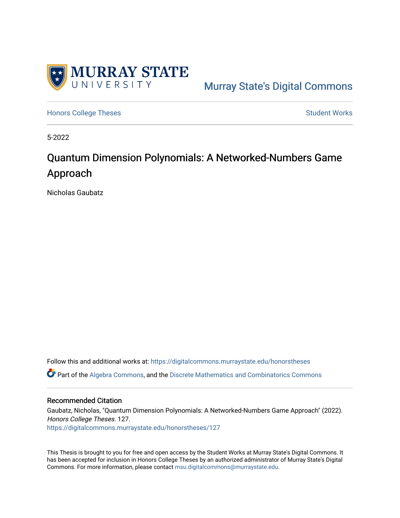

[Murray State's Digital Commons](https://digitalcommons.murraystate.edu/) 

[Honors College Theses](https://digitalcommons.murraystate.edu/honorstheses) **Student Works** [Student Works](https://digitalcommons.murraystate.edu/allstudent) **Student Works** 

5-2022

### Quantum Dimension Polynomials: A Networked-Numbers Game Approach

Nicholas Gaubatz

Follow this and additional works at: [https://digitalcommons.murraystate.edu/honorstheses](https://digitalcommons.murraystate.edu/honorstheses?utm_source=digitalcommons.murraystate.edu%2Fhonorstheses%2F127&utm_medium=PDF&utm_campaign=PDFCoverPages)

Part of the [Algebra Commons,](https://network.bepress.com/hgg/discipline/175?utm_source=digitalcommons.murraystate.edu%2Fhonorstheses%2F127&utm_medium=PDF&utm_campaign=PDFCoverPages) and the [Discrete Mathematics and Combinatorics Commons](https://network.bepress.com/hgg/discipline/178?utm_source=digitalcommons.murraystate.edu%2Fhonorstheses%2F127&utm_medium=PDF&utm_campaign=PDFCoverPages) 

#### Recommended Citation

Gaubatz, Nicholas, "Quantum Dimension Polynomials: A Networked-Numbers Game Approach" (2022). Honors College Theses. 127. [https://digitalcommons.murraystate.edu/honorstheses/127](https://digitalcommons.murraystate.edu/honorstheses/127?utm_source=digitalcommons.murraystate.edu%2Fhonorstheses%2F127&utm_medium=PDF&utm_campaign=PDFCoverPages)

This Thesis is brought to you for free and open access by the Student Works at Murray State's Digital Commons. It has been accepted for inclusion in Honors College Theses by an authorized administrator of Murray State's Digital Commons. For more information, please contact [msu.digitalcommons@murraystate.edu.](mailto:msu.digitalcommons@murraystate.edu)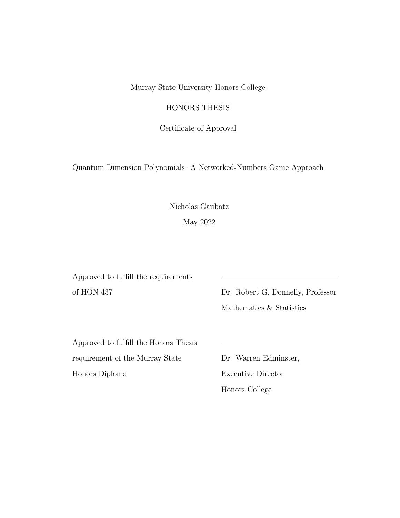Murray State University Honors College

HONORS THESIS

Certificate of Approval

Quantum Dimension Polynomials: A Networked-Numbers Game Approach

Nicholas Gaubatz

May 2022

Approved to fulfill the requirements of HON 437 Dr. Robert G. Donnelly, Professor

Mathematics & Statistics

Approved to fulfill the Honors Thesis requirement of the Murray State Dr. Warren Edminster, Honors Diploma Executive Director

Honors College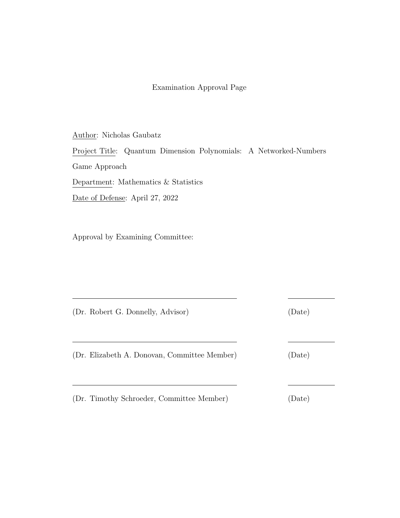#### Examination Approval Page

Author: Nicholas Gaubatz Project Title: Quantum Dimension Polynomials: A Networked-Numbers Game Approach Department: Mathematics & Statistics Date of Defense: April 27, 2022

Approval by Examining Committee:

(Dr. Robert G. Donnelly, Advisor) (Date)

(Dr. Elizabeth A. Donovan, Committee Member) (Date)

(Dr. Timothy Schroeder, Committee Member) (Date)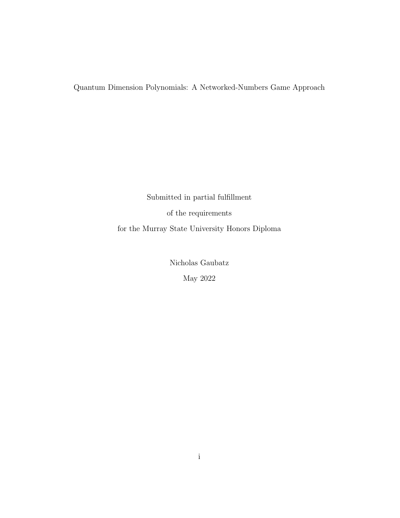Quantum Dimension Polynomials: A Networked-Numbers Game Approach

Submitted in partial fulfillment of the requirements for the Murray State University Honors Diploma

> Nicholas Gaubatz May 2022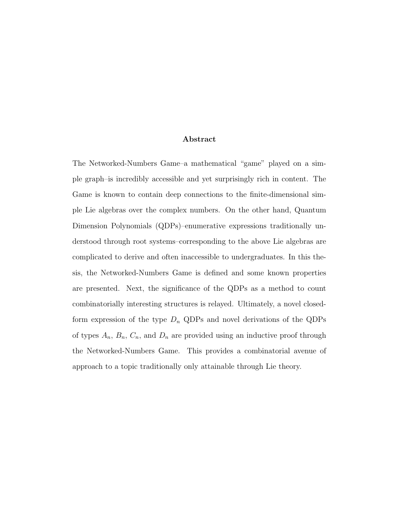#### Abstract

The Networked-Numbers Game–a mathematical "game" played on a simple graph–is incredibly accessible and yet surprisingly rich in content. The Game is known to contain deep connections to the finite-dimensional simple Lie algebras over the complex numbers. On the other hand, Quantum Dimension Polynomials (QDPs)–enumerative expressions traditionally understood through root systems–corresponding to the above Lie algebras are complicated to derive and often inaccessible to undergraduates. In this thesis, the Networked-Numbers Game is defined and some known properties are presented. Next, the significance of the QDPs as a method to count combinatorially interesting structures is relayed. Ultimately, a novel closedform expression of the type  $D_n$  QDPs and novel derivations of the QDPs of types  $A_n$ ,  $B_n$ ,  $C_n$ , and  $D_n$  are provided using an inductive proof through the Networked-Numbers Game. This provides a combinatorial avenue of approach to a topic traditionally only attainable through Lie theory.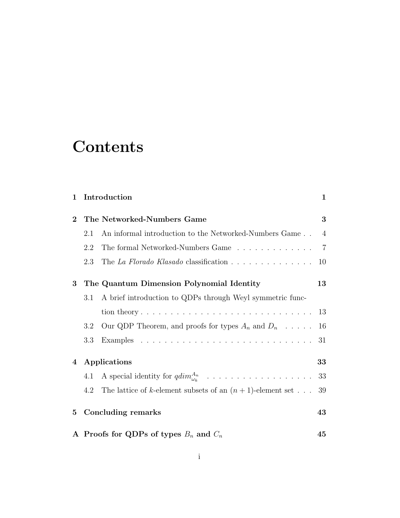# **Contents**

| 1        |                                                  | Introduction                                                                             | $\mathbf{1}$ |
|----------|--------------------------------------------------|------------------------------------------------------------------------------------------|--------------|
| $\bf{2}$ |                                                  | The Networked-Numbers Game                                                               | 3            |
|          | 2.1                                              | An informal introduction to the Networked-Numbers Game                                   | 4            |
|          | 2.2                                              | The formal Networked-Numbers Game                                                        | 7            |
|          | 2.3                                              | The La Florado Klasado classification $\ldots \ldots \ldots \ldots \ldots$               | 10           |
| 3        |                                                  | The Quantum Dimension Polynomial Identity                                                | 13           |
|          | 3.1                                              | A brief introduction to QDPs through Weyl symmetric func-                                |              |
|          |                                                  |                                                                                          | -13          |
|          | 3.2                                              | Our QDP Theorem, and proofs for types $A_n$ and $D_n$                                    | 16           |
|          | 3.3                                              |                                                                                          | 31           |
| 4        | Applications                                     |                                                                                          | 33           |
|          | 4.1                                              | A special identity for $qdim_{\omega_k}^{A_n} \dots \dots \dots \dots \dots \dots \dots$ | 33           |
|          | 4.2                                              | The lattice of k-element subsets of an $(n + 1)$ -element set                            | 39           |
| $\bf{5}$ | Concluding remarks                               |                                                                                          | 43           |
|          | A Proofs for QDPs of types $B_n$ and $C_n$<br>45 |                                                                                          |              |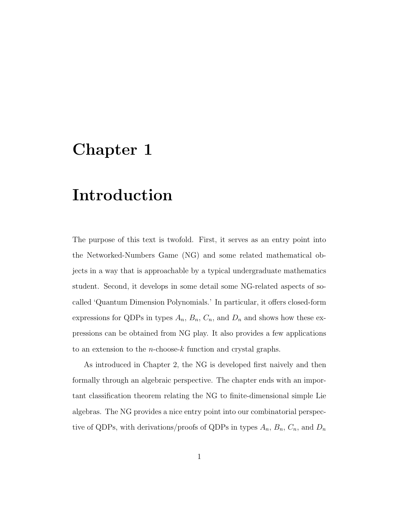## Chapter 1

# Introduction

The purpose of this text is twofold. First, it serves as an entry point into the Networked-Numbers Game (NG) and some related mathematical objects in a way that is approachable by a typical undergraduate mathematics student. Second, it develops in some detail some NG-related aspects of socalled 'Quantum Dimension Polynomials.' In particular, it offers closed-form expressions for QDPs in types  $A_n$ ,  $B_n$ ,  $C_n$ , and  $D_n$  and shows how these expressions can be obtained from NG play. It also provides a few applications to an extension to the *n*-choose- $k$  function and crystal graphs.

As introduced in Chapter 2, the NG is developed first naively and then formally through an algebraic perspective. The chapter ends with an important classification theorem relating the NG to finite-dimensional simple Lie algebras. The NG provides a nice entry point into our combinatorial perspective of QDPs, with derivations/proofs of QDPs in types  $A_n$ ,  $B_n$ ,  $C_n$ , and  $D_n$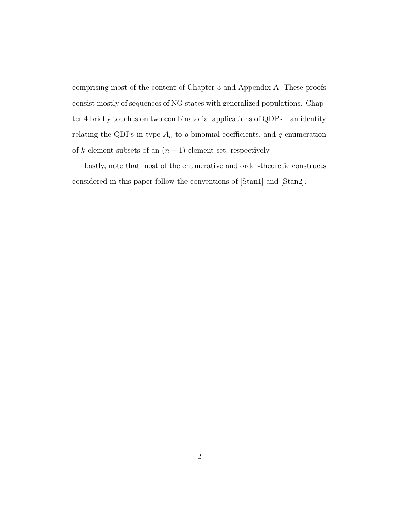comprising most of the content of Chapter 3 and Appendix A. These proofs consist mostly of sequences of NG states with generalized populations. Chapter 4 briefly touches on two combinatorial applications of QDPs—an identity relating the QDPs in type  $A_n$  to q-binomial coefficients, and q-enumeration of *k*-element subsets of an  $(n + 1)$ -element set, respectively.

Lastly, note that most of the enumerative and order-theoretic constructs considered in this paper follow the conventions of [Stan1] and [Stan2].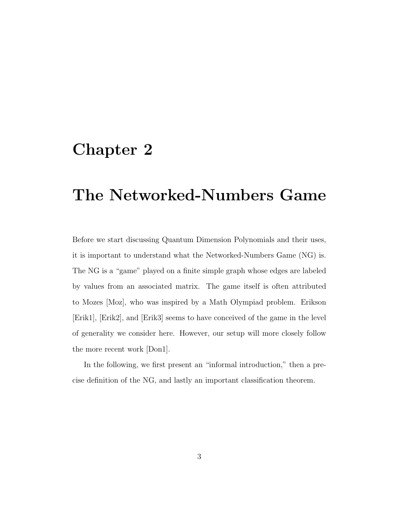# Chapter 2

# The Networked-Numbers Game

Before we start discussing Quantum Dimension Polynomials and their uses, it is important to understand what the Networked-Numbers Game (NG) is. The NG is a "game" played on a finite simple graph whose edges are labeled by values from an associated matrix. The game itself is often attributed to Mozes [Moz], who was inspired by a Math Olympiad problem. Erikson [Erik1], [Erik2], and [Erik3] seems to have conceived of the game in the level of generality we consider here. However, our setup will more closely follow the more recent work [Don1].

In the following, we first present an "informal introduction," then a precise definition of the NG, and lastly an important classification theorem.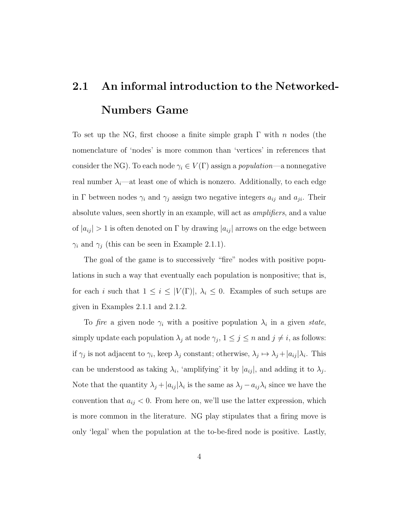# 2.1 An informal introduction to the Networked-Numbers Game

To set up the NG, first choose a finite simple graph  $\Gamma$  with n nodes (the nomenclature of 'nodes' is more common than 'vertices' in references that consider the NG). To each node  $\gamma_i \in V(\Gamma)$  assign a *population*—a nonnegative real number  $\lambda_i$ —at least one of which is nonzero. Additionally, to each edge in Γ between nodes  $\gamma_i$  and  $\gamma_j$  assign two negative integers  $a_{ij}$  and  $a_{ji}$ . Their absolute values, seen shortly in an example, will act as amplifiers, and a value of  $|a_{ij}| > 1$  is often denoted on  $\Gamma$  by drawing  $|a_{ij}|$  arrows on the edge between  $\gamma_i$  and  $\gamma_j$  (this can be seen in Example 2.1.1).

The goal of the game is to successively "fire" nodes with positive populations in such a way that eventually each population is nonpositive; that is, for each i such that  $1 \leq i \leq |V(\Gamma)|$ ,  $\lambda_i \leq 0$ . Examples of such setups are given in Examples 2.1.1 and 2.1.2.

To fire a given node  $\gamma_i$  with a positive population  $\lambda_i$  in a given state, simply update each population  $\lambda_j$  at node  $\gamma_j$ ,  $1 \leq j \leq n$  and  $j \neq i$ , as follows: if  $\gamma_j$  is not adjacent to  $\gamma_i$ , keep  $\lambda_j$  constant; otherwise,  $\lambda_j \mapsto \lambda_j + |a_{ij}|\lambda_i$ . This can be understood as taking  $\lambda_i$ , 'amplifying' it by  $|a_{ij}|$ , and adding it to  $\lambda_j$ . Note that the quantity  $\lambda_j + |a_{ij}| \lambda_i$  is the same as  $\lambda_j - a_{ij} \lambda_i$  since we have the convention that  $a_{ij} < 0$ . From here on, we'll use the latter expression, which is more common in the literature. NG play stipulates that a firing move is only 'legal' when the population at the to-be-fired node is positive. Lastly,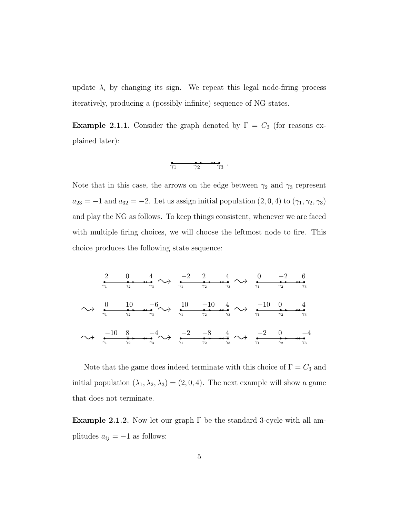update  $\lambda_i$  by changing its sign. We repeat this legal node-firing process iteratively, producing a (possibly infinite) sequence of NG states.

**Example 2.1.1.** Consider the graph denoted by  $\Gamma = C_3$  (for reasons explained later):

$$
\overbrace{\gamma_1 \qquad \gamma_2 \qquad \gamma_3} \ .
$$

Note that in this case, the arrows on the edge between  $\gamma_2$  and  $\gamma_3$  represent  $a_{23} = -1$  and  $a_{32} = -2$ . Let us assign initial population  $(2, 0, 4)$  to  $(\gamma_1, \gamma_2, \gamma_3)$ and play the NG as follows. To keep things consistent, whenever we are faced with multiple firing choices, we will choose the leftmost node to fire. This choice produces the following state sequence:

r r r ✲ ✛✛ 2 0 4 <sup>γ</sup><sup>1</sup> <sup>γ</sup><sup>2</sup> <sup>γ</sup><sup>3</sup> ❀ r r r ✲ ✛✛ −2 2 4 <sup>γ</sup><sup>1</sup> <sup>γ</sup><sup>2</sup> <sup>γ</sup><sup>3</sup> ❀ r r r ✲ ✛✛ 0 −2 6 γ1 γ2 γ3 ❀ r r r ✲ ✛✛ 0 10 −6 <sup>γ</sup><sup>1</sup> <sup>γ</sup><sup>2</sup> <sup>γ</sup><sup>3</sup> ❀ r r r ✲ ✛✛ 10 −10 4 <sup>γ</sup><sup>1</sup> <sup>γ</sup><sup>2</sup> <sup>γ</sup><sup>3</sup> ❀ r r r ✲ ✛✛ −10 0 4 γ1 γ2 γ3 ❀ r r r ✲ ✛✛ −10 8 −4 <sup>γ</sup><sup>1</sup> <sup>γ</sup><sup>2</sup> <sup>γ</sup><sup>3</sup> ❀ r r r ✲ ✛✛ −2 −8 4 <sup>γ</sup><sup>1</sup> <sup>γ</sup><sup>2</sup> <sup>γ</sup><sup>3</sup> ❀ r r r ✲ ✛✛ −2 0 −4 γ1 γ2 γ3

Note that the game does indeed terminate with this choice of  $\Gamma = C_3$  and initial population  $(\lambda_1, \lambda_2, \lambda_3) = (2, 0, 4)$ . The next example will show a game that does not terminate.

Example 2.1.2. Now let our graph  $\Gamma$  be the standard 3-cycle with all amplitudes  $a_{ij} = -1$  as follows: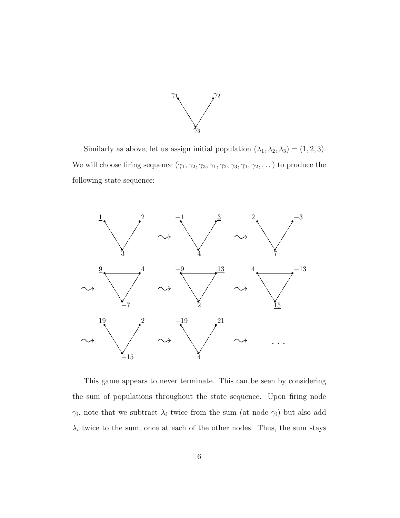

Similarly as above, let us assign initial population  $(\lambda_1, \lambda_2, \lambda_3) = (1, 2, 3)$ . We will choose firing sequence  $(\gamma_1, \gamma_2, \gamma_3, \gamma_1, \gamma_2, \gamma_3, \gamma_1, \gamma_2, \dots)$  to produce the following state sequence:



This game appears to never terminate. This can be seen by considering the sum of populations throughout the state sequence. Upon firing node  $\gamma_i$ , note that we subtract  $\lambda_i$  twice from the sum (at node  $\gamma_i$ ) but also add  $\lambda_i$  twice to the sum, once at each of the other nodes. Thus, the sum stays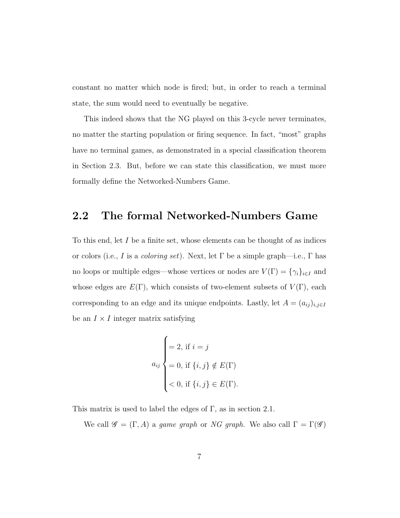constant no matter which node is fired; but, in order to reach a terminal state, the sum would need to eventually be negative.

This indeed shows that the NG played on this 3-cycle never terminates, no matter the starting population or firing sequence. In fact, "most" graphs have no terminal games, as demonstrated in a special classification theorem in Section 2.3. But, before we can state this classification, we must more formally define the Networked-Numbers Game.

#### 2.2 The formal Networked-Numbers Game

To this end, let I be a finite set, whose elements can be thought of as indices or colors (i.e., I is a *coloring set*). Next, let  $\Gamma$  be a simple graph—i.e.,  $\Gamma$  has no loops or multiple edges—whose vertices or nodes are  $V(\Gamma) = {\gamma_i}_{i \in I}$  and whose edges are  $E(\Gamma)$ , which consists of two-element subsets of  $V(\Gamma)$ , each corresponding to an edge and its unique endpoints. Lastly, let  $A = (a_{ij})_{i,j \in I}$ be an  $I \times I$  integer matrix satisfying

$$
a_{ij} \begin{cases} = 2, \text{ if } i = j \\ = 0, \text{ if } \{i, j\} \notin E(\Gamma) \\ < 0, \text{ if } \{i, j\} \in E(\Gamma). \end{cases}
$$

This matrix is used to label the edges of  $\Gamma$ , as in section 2.1.

We call  $\mathscr{G} = (\Gamma, A)$  a game graph or NG graph. We also call  $\Gamma = \Gamma(\mathscr{G})$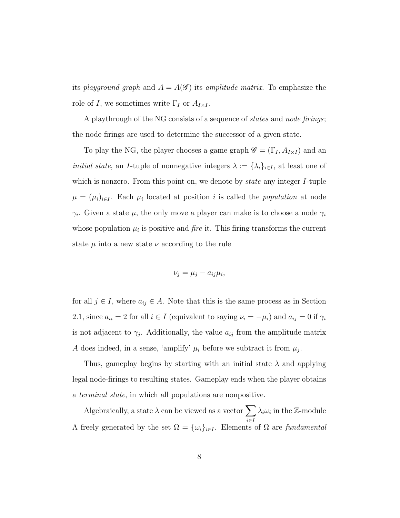its playground graph and  $A = A(\mathcal{G})$  its amplitude matrix. To emphasize the role of I, we sometimes write  $\Gamma_I$  or  $A_{I\times I}$ .

A playthrough of the NG consists of a sequence of *states* and *node firings*; the node firings are used to determine the successor of a given state.

To play the NG, the player chooses a game graph  $\mathscr{G} = (\Gamma_I, A_{I \times I})$  and an *initial state*, an *I*-tuple of nonnegative integers  $\lambda := {\lambda_i}_{i \in I}$ , at least one of which is nonzero. From this point on, we denote by *state* any integer I-tuple  $\mu = (\mu_i)_{i \in I}$ . Each  $\mu_i$  located at position i is called the *population* at node  $\gamma_i$ . Given a state  $\mu$ , the only move a player can make is to choose a node  $\gamma_i$ whose population  $\mu_i$  is positive and *fire* it. This firing transforms the current state  $\mu$  into a new state  $\nu$  according to the rule

$$
\nu_j = \mu_j - a_{ij}\mu_i,
$$

for all  $j \in I$ , where  $a_{ij} \in A$ . Note that this is the same process as in Section 2.1, since  $a_{ii} = 2$  for all  $i \in I$  (equivalent to saying  $\nu_i = -\mu_i$ ) and  $a_{ij} = 0$  if  $\gamma_i$ is not adjacent to  $\gamma_j$ . Additionally, the value  $a_{ij}$  from the amplitude matrix A does indeed, in a sense, 'amplify'  $\mu_i$  before we subtract it from  $\mu_j$ .

Thus, gameplay begins by starting with an initial state  $\lambda$  and applying legal node-firings to resulting states. Gameplay ends when the player obtains a terminal state, in which all populations are nonpositive.

Algebraically, a state  $\lambda$  can be viewed as a vector  $\sum$ i∈I  $\lambda_i \omega_i$  in the Z-module Λ freely generated by the set  $\Omega = {\{\omega_i\}}_{i \in I}$ . Elements of  $\Omega$  are fundamental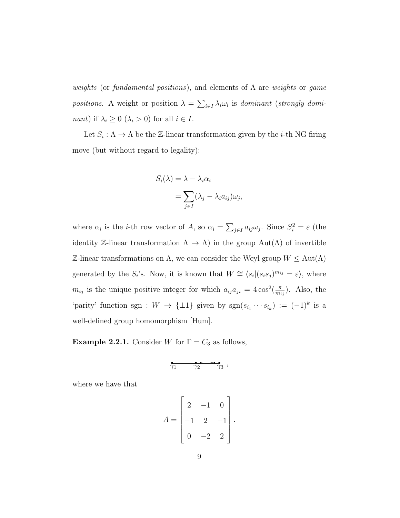weights (or fundamental positions), and elements of  $\Lambda$  are weights or game positions. A weight or position  $\lambda = \sum_{i \in I} \lambda_i \omega_i$  is dominant (strongly domi*nant*) if  $\lambda_i \geq 0$  ( $\lambda_i > 0$ ) for all  $i \in I$ .

Let  $S_i : \Lambda \to \Lambda$  be the Z-linear transformation given by the *i*-th NG firing move (but without regard to legality):

$$
S_i(\lambda) = \lambda - \lambda_i \alpha_i
$$
  
= 
$$
\sum_{j \in I} (\lambda_j - \lambda_i a_{ij}) \omega_j,
$$

where  $\alpha_i$  is the *i*-th row vector of A, so  $\alpha_i = \sum_{j \in I} a_{ij} \omega_j$ . Since  $S_i^2 = \varepsilon$  (the identity Z-linear transformation  $\Lambda \to \Lambda$ ) in the group  $Aut(\Lambda)$  of invertible Z-linear transformations on Λ, we can consider the Weyl group W ≤ Aut(Λ) generated by the  $S_i$ 's. Now, it is known that  $W \cong \langle s_i | (s_i s_j)^{m_{ij}} = \varepsilon \rangle$ , where  $m_{ij}$  is the unique positive integer for which  $a_{ij}a_{ji} = 4\cos^2(\frac{\pi}{m})$  $\frac{\pi}{m_{ij}}$ ). Also, the 'parity' function sgn :  $W \to {\pm 1}$  given by  $sgn(s_{i_1} \cdots s_{i_k}) := (-1)^k$  is a well-defined group homomorphism [Hum].

**Example 2.2.1.** Consider W for  $\Gamma = C_3$  as follows,

$$
\overbrace{\gamma_1 \qquad \gamma_2 \qquad \gamma_3 \qquad \gamma_3 \qquad \cdots \qquad \gamma_n}
$$

where we have that

$$
A = \begin{bmatrix} 2 & -1 & 0 \\ -1 & 2 & -1 \\ 0 & -2 & 2 \end{bmatrix}.
$$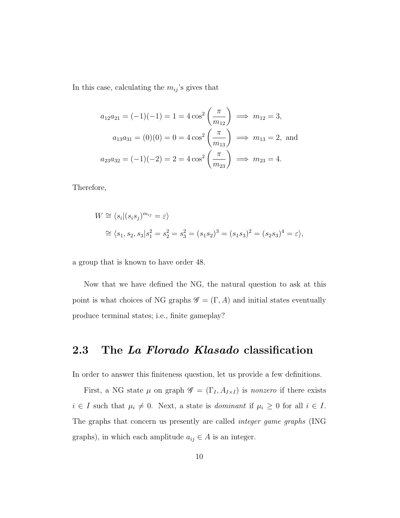In this case, calculating the  $m_{ij}$ 's gives that

$$
a_{12}a_{21} = (-1)(-1) = 1 = 4 \cos^2\left(\frac{\pi}{m_{12}}\right) \implies m_{12} = 3,
$$
  

$$
a_{13}a_{31} = (0)(0) = 0 = 4 \cos^2\left(\frac{\pi}{m_{13}}\right) \implies m_{13} = 2, \text{ and}
$$
  

$$
a_{23}a_{32} = (-1)(-2) = 2 = 4 \cos^2\left(\frac{\pi}{m_{23}}\right) \implies m_{23} = 4.
$$

Therefore,

$$
W \cong \langle s_i | (s_i s_j)^{m_{ij}} = \varepsilon \rangle
$$
  
\n
$$
\cong \langle s_1, s_2, s_3 | s_1^2 = s_2^2 = s_3^2 = (s_1 s_2)^3 = (s_1 s_3)^2 = (s_2 s_3)^4 = \varepsilon \rangle,
$$

a group that is known to have order 48.

Now that we have defined the NG, the natural question to ask at this point is what choices of NG graphs  $\mathscr{G} = (\Gamma, A)$  and initial states eventually produce terminal states; i.e., finite gameplay?

### 2.3 The La Florado Klasado classification

In order to answer this finiteness question, let us provide a few definitions.

First, a NG state  $\mu$  on graph  $\mathscr{G} = (\Gamma_I, A_{I \times I})$  is nonzero if there exists  $i \in I$  such that  $\mu_i \neq 0$ . Next, a state is *dominant* if  $\mu_i \geq 0$  for all  $i \in I$ . The graphs that concern us presently are called integer game graphs (ING graphs), in which each amplitude  $a_{ij} \in A$  is an integer.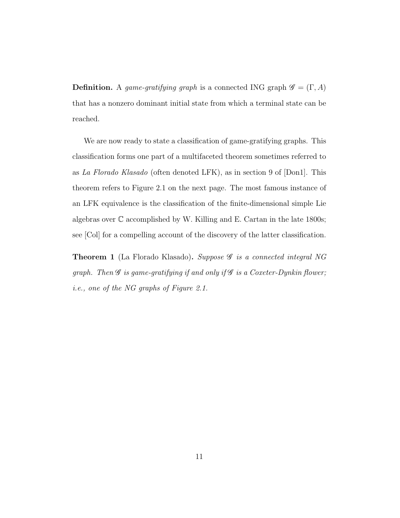**Definition.** A game-gratifying graph is a connected ING graph  $\mathscr{G} = (\Gamma, A)$ that has a nonzero dominant initial state from which a terminal state can be reached.

We are now ready to state a classification of game-gratifying graphs. This classification forms one part of a multifaceted theorem sometimes referred to as La Florado Klasado (often denoted LFK), as in section 9 of [Don1]. This theorem refers to Figure 2.1 on the next page. The most famous instance of an LFK equivalence is the classification of the finite-dimensional simple Lie algebras over  $\mathbb C$  accomplished by W. Killing and E. Cartan in the late 1800s; see [Col] for a compelling account of the discovery of the latter classification.

Theorem 1 (La Florado Klasado). Suppose  $\mathscr G$  is a connected integral NG graph. Then  $\mathscr G$  is game-gratifying if and only if  $\mathscr G$  is a Coxeter-Dynkin flower; i.e., one of the NG graphs of Figure 2.1.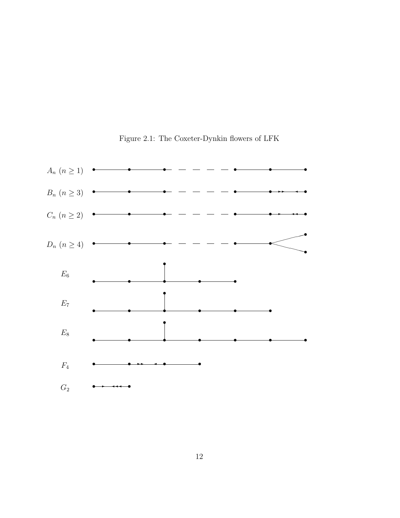

Figure 2.1: The Coxeter-Dynkin flowers of LFK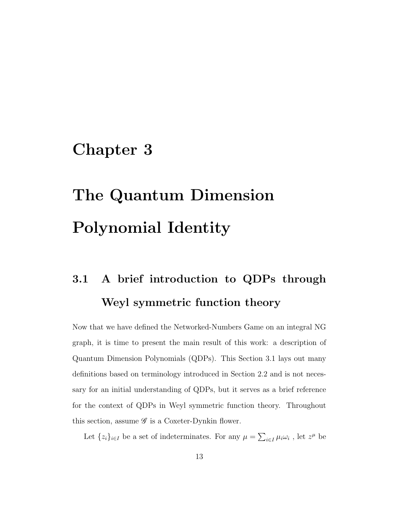### Chapter 3

# The Quantum Dimension Polynomial Identity

# 3.1 A brief introduction to QDPs through Weyl symmetric function theory

Now that we have defined the Networked-Numbers Game on an integral NG graph, it is time to present the main result of this work: a description of Quantum Dimension Polynomials (QDPs). This Section 3.1 lays out many definitions based on terminology introduced in Section 2.2 and is not necessary for an initial understanding of QDPs, but it serves as a brief reference for the context of QDPs in Weyl symmetric function theory. Throughout this section, assume  $\mathscr G$  is a Coxeter-Dynkin flower.

Let  $\{z_i\}_{i\in I}$  be a set of indeterminates. For any  $\mu = \sum_{i\in I} \mu_i \omega_i$ , let  $z^{\mu}$  be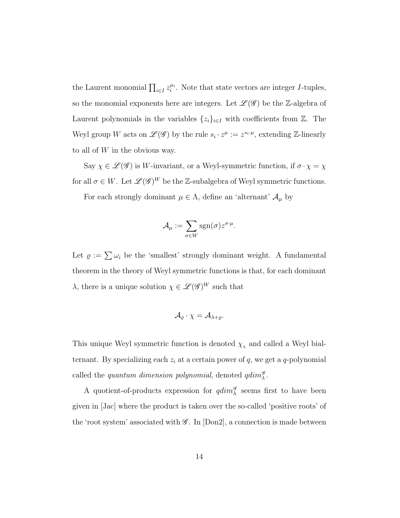the Laurent monomial  $\prod_{i\in I} z_i^{\mu_i}$ . Note that state vectors are integer *I*-tuples, so the monomial exponents here are integers. Let  $\mathcal{L}(\mathcal{G})$  be the Z-algebra of Laurent polynomials in the variables  $\{z_i\}_{i\in I}$  with coefficients from  $\mathbb{Z}$ . The Weyl group W acts on  $\mathscr{L}(\mathscr{G})$  by the rule  $s_i \cdot z^{\mu} := z^{s_i \cdot \mu}$ , extending Z-linearly to all of  $W$  in the obvious way.

Say  $\chi\in\mathscr{L}(\mathscr{G})$  is  $W\text{-invariant, or a Weyl-symmetric function, if }\sigma\cdot\chi=\chi$ for all  $\sigma \in W$ . Let  $\mathscr{L}(\mathscr{G})^W$  be the Z-subalgebra of Weyl symmetric functions.

For each strongly dominant  $\mu \in \Lambda$ , define an 'alternant'  $\mathcal{A}_{\mu}$  by

$$
\mathcal{A}_{\mu} := \sum_{\sigma \in W} \text{sgn}(\sigma) z^{\sigma \cdot \mu}.
$$

Let  $\varrho := \sum \omega_i$  be the 'smallest' strongly dominant weight. A fundamental theorem in the theory of Weyl symmetric functions is that, for each dominant  $\lambda$ , there is a unique solution  $\chi \in \mathscr{L}(\mathscr{G})^W$  such that

$$
\mathcal{A}_{\varrho}\cdot\chi=\mathcal{A}_{\lambda+\varrho}.
$$

This unique Weyl symmetric function is denoted  $\chi_{\lambda}$  and called a Weyl bialternant. By specializing each  $z_i$  at a certain power of q, we get a q-polynomial called the *quantum dimension polynomial*, denoted  $qdim_{\lambda}^{\mathscr{G}}$ .

A quotient-of-products expression for  $qdim_{\lambda}^{\mathscr{G}}$  seems first to have been given in [Jac] where the product is taken over the so-called 'positive roots' of the 'root system' associated with  $\mathscr{G}$ . In [Don2], a connection is made between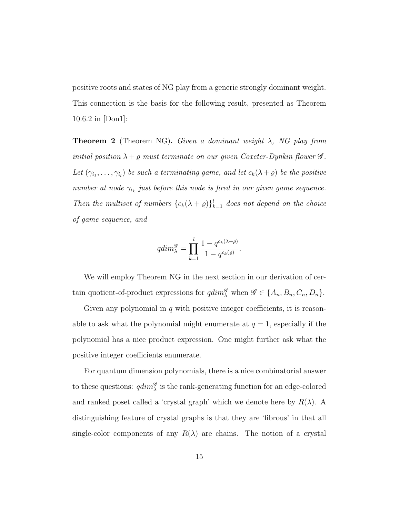positive roots and states of NG play from a generic strongly dominant weight. This connection is the basis for the following result, presented as Theorem 10.6.2 in [Don1]:

**Theorem 2** (Theorem NG). Given a dominant weight  $\lambda$ , NG play from initial position  $\lambda + \varrho$  must terminate on our given Coxeter-Dynkin flower  $\mathscr G$ . Let  $(\gamma_{i_1}, \ldots, \gamma_{i_l})$  be such a terminating game, and let  $c_k(\lambda + \varrho)$  be the positive number at node  $\gamma_{i_k}$  just before this node is fired in our given game sequence. Then the multiset of numbers  ${c_k(\lambda + \varrho)}_{k=1}^l$  does not depend on the choice of game sequence, and

$$
qdim_{\lambda}^{\mathcal{G}} = \prod_{k=1}^{l} \frac{1 - q^{c_k(\lambda + \rho)}}{1 - q^{c_k(\varrho)}}.
$$

We will employ Theorem NG in the next section in our derivation of certain quotient-of-product expressions for  $\operatorname{qdim}_{\lambda}^{\mathscr{G}}$  when  $\mathscr{G} \in \{A_n, B_n, C_n, D_n\}.$ 

Given any polynomial in  $q$  with positive integer coefficients, it is reasonable to ask what the polynomial might enumerate at  $q = 1$ , especially if the polynomial has a nice product expression. One might further ask what the positive integer coefficients enumerate.

For quantum dimension polynomials, there is a nice combinatorial answer to these questions:  $qdim_{\lambda}^{\mathscr{G}}$  is the rank-generating function for an edge-colored and ranked poset called a 'crystal graph' which we denote here by  $R(\lambda)$ . A distinguishing feature of crystal graphs is that they are 'fibrous' in that all single-color components of any  $R(\lambda)$  are chains. The notion of a crystal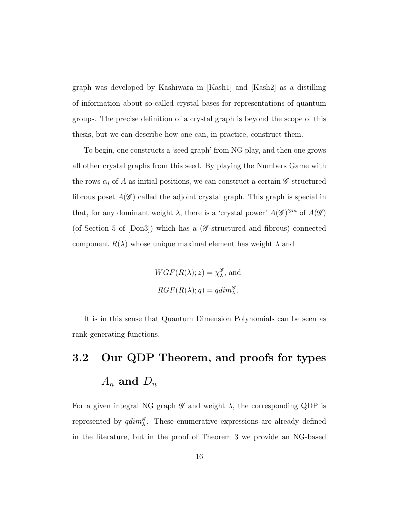graph was developed by Kashiwara in [Kash1] and [Kash2] as a distilling of information about so-called crystal bases for representations of quantum groups. The precise definition of a crystal graph is beyond the scope of this thesis, but we can describe how one can, in practice, construct them.

To begin, one constructs a 'seed graph' from NG play, and then one grows all other crystal graphs from this seed. By playing the Numbers Game with the rows  $\alpha_i$  of A as initial positions, we can construct a certain  $\mathscr{G}\text{-}structured$ fibrous poset  $A(\mathscr{G})$  called the adjoint crystal graph. This graph is special in that, for any dominant weight  $\lambda$ , there is a 'crystal power'  $A(\mathscr{G})^{\otimes m}$  of  $A(\mathscr{G})$ (of Section 5 of  $[Don3]$ ) which has a (*G*-structured and fibrous) connected component  $R(\lambda)$  whose unique maximal element has weight  $\lambda$  and

$$
WGF(R(\lambda); z) = \chi_{\lambda}^{\mathscr{G}}, \text{ and}
$$

$$
RGF(R(\lambda); q) = qdim_{\lambda}^{\mathscr{G}}.
$$

It is in this sense that Quantum Dimension Polynomials can be seen as rank-generating functions.

# 3.2 Our QDP Theorem, and proofs for types  $A_n$  and  $D_n$

For a given integral NG graph  $\mathscr G$  and weight  $\lambda$ , the corresponding QDP is represented by  $qdim_{\lambda}^{\mathscr{G}}$ . These enumerative expressions are already defined in the literature, but in the proof of Theorem 3 we provide an NG-based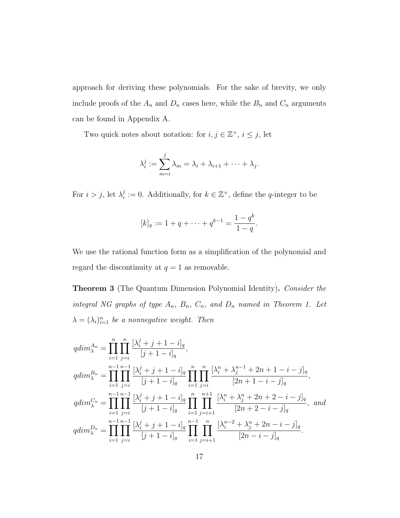approach for deriving these polynomials. For the sake of brevity, we only include proofs of the  $A_n$  and  $D_n$  cases here, while the  $B_n$  and  $C_n$  arguments can be found in Appendix A.

Two quick notes about notation: for  $i, j \in \mathbb{Z}^+, i \leq j$ , let

$$
\lambda_i^j := \sum_{m=i}^j \lambda_m = \lambda_i + \lambda_{i+1} + \cdots + \lambda_j.
$$

For  $i > j$ , let  $\lambda_i^j$  $i_i^j := 0$ . Additionally, for  $k \in \mathbb{Z}^+$ , define the q-integer to be

$$
[k]_q := 1 + q + \dots + q^{k-1} = \frac{1 - q^k}{1 - q}.
$$

We use the rational function form as a simplification of the polynomial and regard the discontinuity at  $q = 1$  as removable.

Theorem 3 (The Quantum Dimension Polynomial Identity). Consider the integral NG graphs of type  $A_n$ ,  $B_n$ ,  $C_n$ , and  $D_n$  named in Theorem 1. Let  $\lambda = (\lambda_i)_{i=1}^n$  be a nonnegative weight. Then

$$
qdim_{\lambda}^{A_n} = \prod_{i=1}^{n} \prod_{j=i}^{n} \frac{[\lambda_i^j + j + 1 - i]_q}{[j + 1 - i]_q},
$$
  
\n
$$
qdim_{\lambda}^{B_n} = \prod_{i=1}^{n-1} \prod_{j=i}^{n-1} \frac{[\lambda_i^j + j + 1 - i]_q}{[j + 1 - i]_q} \prod_{i=1}^{n} \prod_{j=i}^{n} \frac{[\lambda_i^n + \lambda_j^{n-1} + 2n + 1 - i - j]_q}{[2n + 1 - i - j]_q},
$$
  
\n
$$
qdim_{\lambda}^{C_n} = \prod_{i=1}^{n-1} \prod_{j=i}^{n-1} \frac{[\lambda_i^j + j + 1 - i]_q}{[j + 1 - i]_q} \prod_{i=1}^{n} \prod_{j=i+1}^{n+1} \frac{[\lambda_i^n + \lambda_j^n + 2n + 2 - i - j]_q}{[2n + 2 - i - j]_q},
$$
 and  
\n
$$
qdim_{\lambda}^{D_n} = \prod_{i=1}^{n-1} \prod_{j=i}^{n-1} \frac{[\lambda_i^j + j + 1 - i]_q}{[j + 1 - i]_q} \prod_{i=1}^{n-1} \prod_{j=i+1}^{n} \frac{[\lambda_i^{n-2} + \lambda_j^n + 2n - i - j]_q}{[2n - i - j]_q}.
$$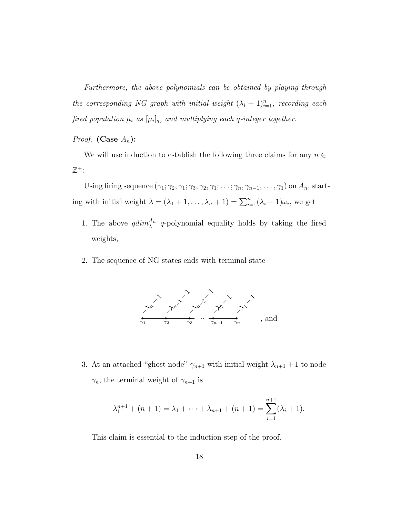Furthermore, the above polynomials can be obtained by playing through the corresponding NG graph with initial weight  $(\lambda_i + 1)_{i=1}^n$ , recording each fired population  $\mu_i$  as  $[\mu_i]_q$ , and multiplying each q-integer together.

*Proof.* (Case  $A_n$ ):

We will use induction to establish the following three claims for any  $n \in$  $\mathbb{Z}^+$ :

Using firing sequence  $(\gamma_1; \gamma_2, \gamma_1; \gamma_3, \gamma_2, \gamma_1; \ldots; \gamma_n, \gamma_{n-1}, \ldots, \gamma_1)$  on  $A_n$ , starting with initial weight  $\lambda = (\lambda_1 + 1, \ldots, \lambda_n + 1) = \sum_{i=1}^n (\lambda_i + 1) \omega_i$ , we get

- 1. The above  $qdim_{\lambda}^{A_n}$  q-polynomial equality holds by taking the fired weights,
- 2. The sequence of NG states ends with terminal state



3. At an attached "ghost node"  $\gamma_{n+1}$  with initial weight  $\lambda_{n+1} + 1$  to node  $\gamma_n$ , the terminal weight of  $\gamma_{n+1}$  is

$$
\lambda_1^{n+1} + (n+1) = \lambda_1 + \dots + \lambda_{n+1} + (n+1) = \sum_{i=1}^{n+1} (\lambda_i + 1).
$$

This claim is essential to the induction step of the proof.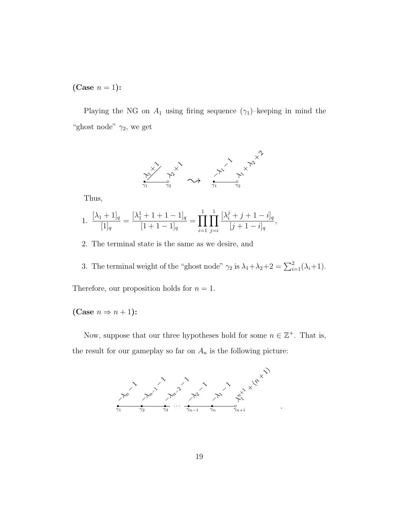(Case  $n = 1$ ):

Playing the NG on  $A_1$  using firing sequence  $(\gamma_1)$ –keeping in mind the "ghost node"  $\gamma_2$ , we get



Thus,

1. 
$$
\frac{[\lambda_1+1]_q}{[1]_q} = \frac{[\lambda_1^1+1+1-1]_q}{[1+1-1]_q} = \prod_{i=1}^1 \prod_{j=i}^1 \frac{[\lambda_i^j+j+1-i]_q}{[j+1-i]_q},
$$

2. The terminal state is the same as we desire, and

3. The terminal weight of the "ghost node"  $\gamma_2$  is  $\lambda_1 + \lambda_2 + 2 = \sum_{i=1}^2 (\lambda_i + 1)$ . Therefore, our proposition holds for  $n = 1$ .

(Case  $n \Rightarrow n+1$ ):

Now, suppose that our three hypotheses hold for some  $n \in \mathbb{Z}^+$ . That is, the result for our gameplay so far on  $A_n$  is the following picture:

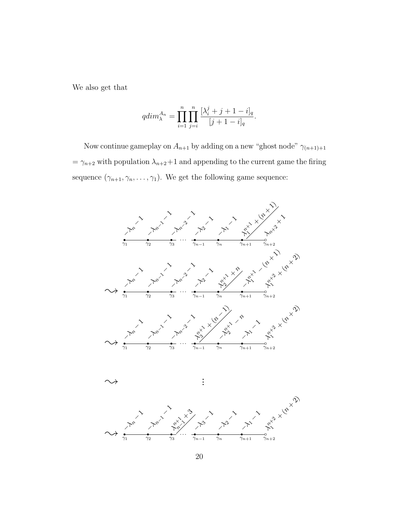We also get that

$$
qdim_{\lambda}^{A_n} = \prod_{i=1}^{n} \prod_{j=i}^{n} \frac{[\lambda_i^j + j + 1 - i]_q}{[j+1-i]_q}.
$$

Now continue gameplay on  $A_{n+1}$  by adding on a new "ghost node"  $\gamma_{(n+1)+1}$ =  $\gamma_{n+2}$  with population  $\lambda_{n+2}+1$  and appending to the current game the firing sequence  $(\gamma_{n+1}, \gamma_n, \ldots, \gamma_1)$ . We get the following game sequence:



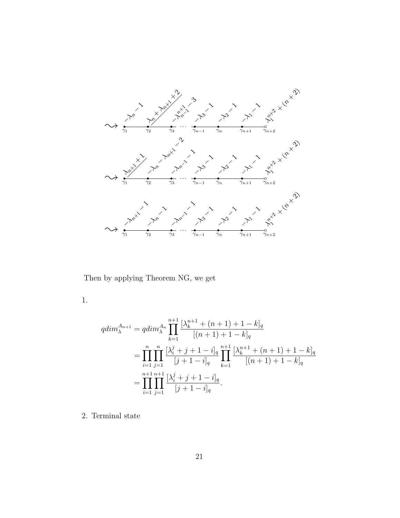

Then by applying Theorem NG, we get

1.

$$
qdim_{\lambda}^{A_{n+1}} = qdim_{\lambda}^{A_n} \prod_{k=1}^{n+1} \frac{[\lambda_k^{n+1} + (n+1) + 1 - k]_q}{[(n+1) + 1 - k]_q}
$$
  
= 
$$
\prod_{i=1}^n \prod_{j=1}^n \frac{[\lambda_i^j + j + 1 - i]_q}{[j+1-i]_q} \prod_{k=1}^{n+1} \frac{[\lambda_k^{n+1} + (n+1) + 1 - k]_q}{[(n+1) + 1 - k]_q}
$$
  
= 
$$
\prod_{i=1}^{n+1} \prod_{j=1}^{n+1} \frac{[\lambda_i^j + j + 1 - i]_q}{[j+1-i]_q}.
$$

2. Terminal state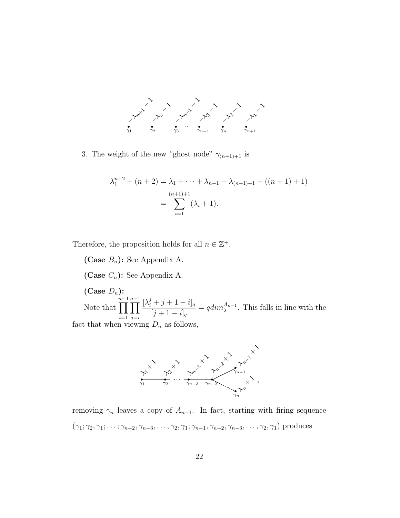

3. The weight of the new "ghost node"  $\gamma_{(n+1)+1}$  is

$$
\lambda_1^{n+2} + (n+2) = \lambda_1 + \dots + \lambda_{n+1} + \lambda_{(n+1)+1} + ((n+1)+1)
$$
  
= 
$$
\sum_{i=1}^{(n+1)+1} (\lambda_i + 1).
$$

Therefore, the proposition holds for all  $n \in \mathbb{Z}^+$ .

(Case  $B_n$ ): See Appendix A. (Case  $C_n$ ): See Appendix A. (Case  $D_n$ ): Note that n−1<br>∏  $i=1$ n−1<br>∏  $j = i$  $[\lambda_i^j + j + 1 - i]_q$  $[j + 1 - i]_q$  $= q dim_{\lambda}^{A_{n-1}}$ . This falls in line with the fact that when viewing  $D_n$  as follows,



removing  $\gamma_n$  leaves a copy of  $A_{n-1}$ . In fact, starting with firing sequence  $(\gamma_1; \gamma_2, \gamma_1; \ldots; \gamma_{n-2}, \gamma_{n-3}, \ldots, \gamma_2, \gamma_1; \gamma_{n-1}, \gamma_{n-2}, \gamma_{n-3}, \ldots, \gamma_2, \gamma_1)$  produces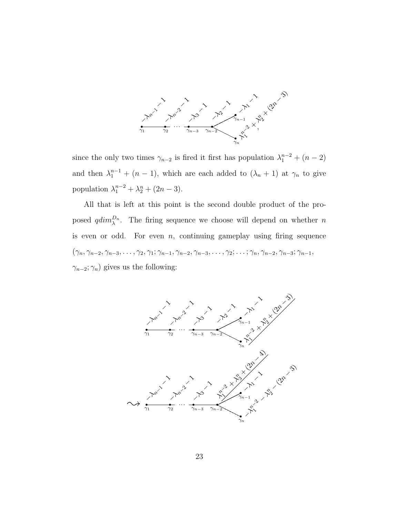

since the only two times  $\gamma_{n-2}$  is fired it first has population  $\lambda_1^{n-2} + (n-2)$ and then  $\lambda_1^{n-1} + (n-1)$ , which are each added to  $(\lambda_n + 1)$  at  $\gamma_n$  to give population  $\lambda_1^{n-2} + \lambda_2^{n} + (2n-3)$ .

All that is left at this point is the second double product of the proposed  $qdim_\lambda^{D_n}$ . The firing sequence we choose will depend on whether n is even or odd. For even  $n$ , continuing gameplay using firing sequence  $(\gamma_n, \gamma_{n-2}, \gamma_{n-3}, \ldots, \gamma_2, \gamma_1; \gamma_{n-1}, \gamma_{n-2}, \gamma_{n-3}, \ldots, \gamma_2; \ldots; \gamma_n, \gamma_{n-2}, \gamma_{n-3}; \gamma_{n-1},$  $\gamma_{n-2}$ ;  $\gamma_n$ ) gives us the following:

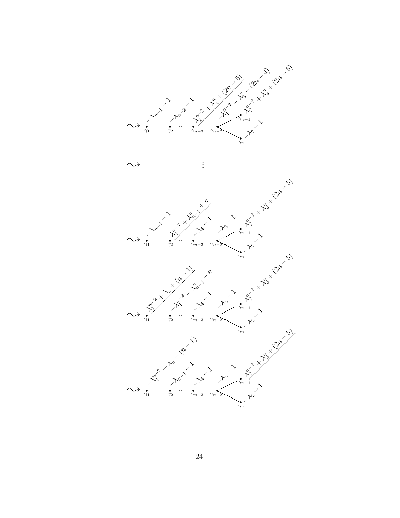

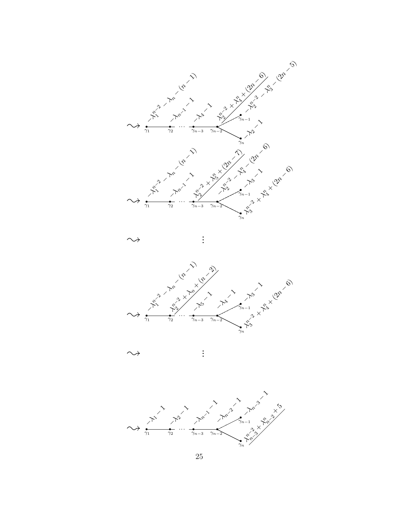









. .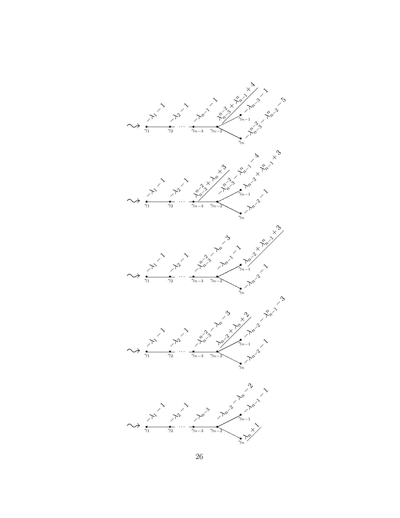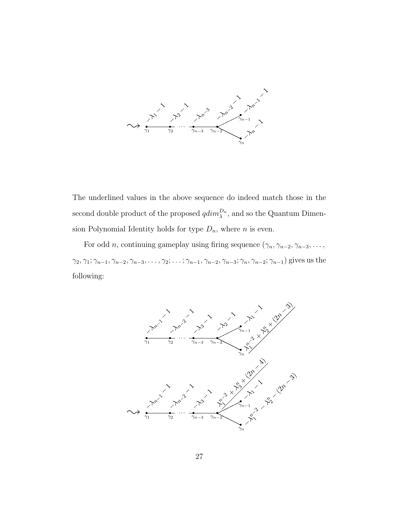

The underlined values in the above sequence do indeed match those in the second double product of the proposed  $qdim_{\lambda}^{D_n}$ , and so the Quantum Dimension Polynomial Identity holds for type  $D_n$ , where n is even.

For odd *n*, continuing gameplay using firing sequence  $(\gamma_n, \gamma_{n-2}, \gamma_{n-3}, \ldots,$  $\gamma_2, \gamma_1; \gamma_{n-1}, \gamma_{n-2}, \gamma_{n-3}, \ldots, \gamma_2; \ldots; \gamma_{n-1}, \gamma_{n-2}, \gamma_{n-3}; \gamma_n, \gamma_{n-2}; \gamma_{n-1}$ ) gives us the following:

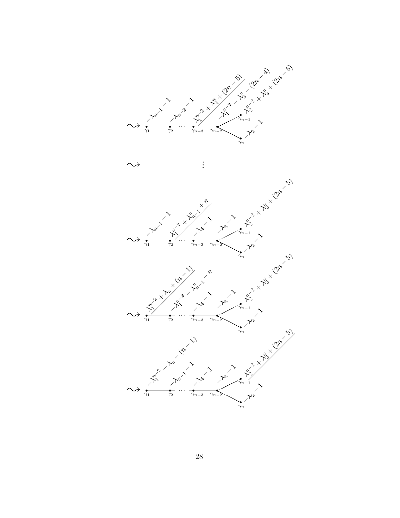

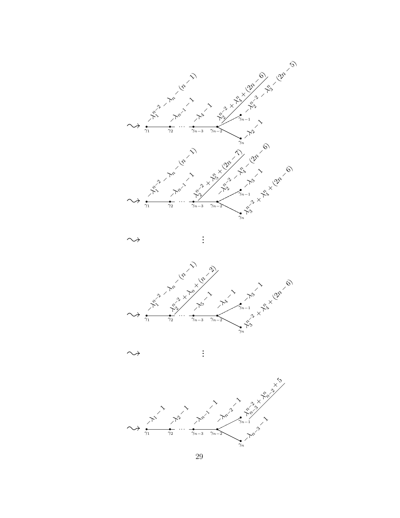









. .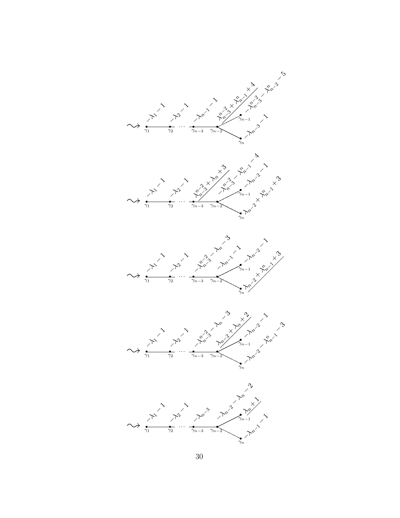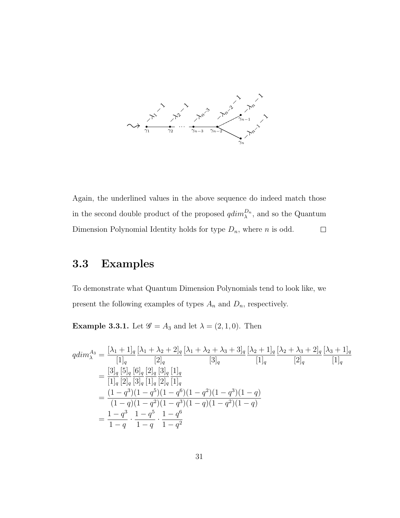

Again, the underlined values in the above sequence do indeed match those in the second double product of the proposed  $qdim_{\lambda}^{D_n}$ , and so the Quantum Dimension Polynomial Identity holds for type  $D_n$ , where n is odd.  $\Box$ 

### 3.3 Examples

To demonstrate what Quantum Dimension Polynomials tend to look like, we present the following examples of types  $A_n$  and  $D_n$ , respectively.

**Example 3.3.1.** Let  $\mathscr{G} = A_3$  and let  $\lambda = (2, 1, 0)$ . Then

$$
qdim_{\lambda}^{A_3} = \frac{[\lambda_1 + 1]_q}{[1]_q} \frac{[\lambda_1 + \lambda_2 + 2]_q}{[2]_q} \frac{[\lambda_1 + \lambda_2 + \lambda_3 + 3]_q}{[3]_q} \frac{[\lambda_2 + 1]_q}{[1]_q} \frac{[\lambda_2 + \lambda_3 + 2]_q}{[2]_q} \frac{[\lambda_3 + 1]_q}{[1]_q}
$$
  
\n
$$
= \frac{[3]_q}{[1]_q} \frac{[5]_q}{[2]_q} \frac{[6]_q}{[3]_q} \frac{[2]_q}{[1]_q} \frac{[1]_q}{[2]_q} \frac{[1]_q}{[1]_q}
$$
  
\n
$$
= \frac{(1 - q^3)(1 - q^5)(1 - q^6)(1 - q^2)(1 - q^3)(1 - q)}{(1 - q)(1 - q^2)(1 - q^3)(1 - q)(1 - q^2)(1 - q)}
$$
  
\n
$$
= \frac{1 - q^3}{1 - q} \cdot \frac{1 - q^5}{1 - q} \cdot \frac{1 - q^6}{1 - q^2}
$$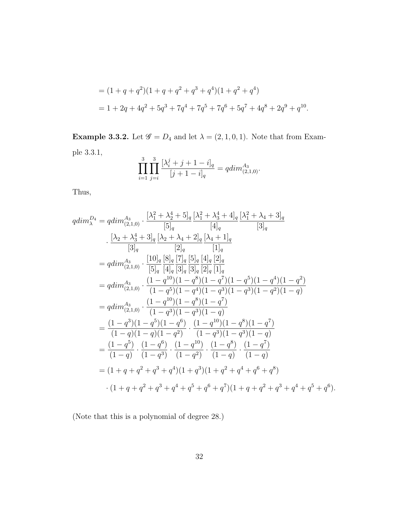$$
= (1+q+q^2)(1+q+q^2+q^3+q^4)(1+q^2+q^4)
$$
  
= 1+2q+4q^2+5q^3+7q^4+7q^5+7q^6+5q^7+4q^8+2q^9+q^{10}.

**Example 3.3.2.** Let  $\mathscr{G} = D_4$  and let  $\lambda = (2, 1, 0, 1)$ . Note that from Example 3.3.1,

$$
\prod_{i=1}^{3} \prod_{j=i}^{3} \frac{[\lambda_i^j + j + 1 - i]_q}{[j+1-i]_q} = qdim_{(2,1,0)}^{A_3}.
$$

Thus,

$$
qdim_{\lambda}^{A_4} = qdim_{(2,1,0)}^{A_3} \cdot \frac{[\lambda_1^2 + \lambda_2^4 + 5]_q [\lambda_1^2 + \lambda_3^4 + 4]_q [\lambda_1^2 + \lambda_4 + 3]_q}{[3]_q} \cdot \frac{[\lambda_2 + \lambda_3^4 + 3]_q [\lambda_2 + \lambda_4 + 2]_q [\lambda_4 + 1]_q}{[3]_q} \cdot \frac{[10]_q [\lambda_2 + \lambda_4 + 2]_q [\lambda_4 + 1]_q}{[1]_q}
$$
\n
$$
= qdim_{(2,1,0)}^{A_3} \cdot \frac{[10]_q [\lambda_2^2 - 5]_q [\lambda_2^2 - 5]_q [1]_q}{[3]_q [3]_q [3]_q [2]_q [1]_q}
$$
\n
$$
= qdim_{(2,1,0)}^{A_3} \cdot \frac{(1 - q^{10})(1 - q^8)(1 - q^7)(1 - q^5)(1 - q^4)(1 - q^2)}{(1 - q^5)(1 - q^4)(1 - q^3)(1 - q^3)(1 - q^2)(1 - q)}
$$
\n
$$
= qdim_{(2,1,0)}^{A_3} \cdot \frac{(1 - q^{10})(1 - q^8)(1 - q^7)}{(1 - q^3)(1 - q^3)(1 - q)}
$$
\n
$$
= \frac{(1 - q^3)(1 - q^5)(1 - q^6)}{(1 - q)(1 - q^2)} \cdot \frac{(1 - q^{10})(1 - q^8)(1 - q^7)}{(1 - q^3)(1 - q^3)(1 - q)}
$$
\n
$$
= \frac{(1 - q^5)}{(1 - q)} \cdot \frac{(1 - q^{10})}{(1 - q^3)} \cdot \frac{(1 - q^{10})}{(1 - q^2)} \cdot \frac{(1 - q^8)}{(1 - q)} \cdot \frac{(1 - q^7)}{(1 - q)}
$$
\n
$$
= (1 + q + q^2 + q^3 + q^4)(1 + q^3)(1 + q^2 + q^4 + q^6 + q^8)
$$
\n
$$
\cdot (1 + q + q^2 + q^3 + q^4 + q^5 + q^6 + q^7)(1 + q + q^2 + q^3 + q^4 + q^5 + q^6).
$$

(Note that this is a polynomial of degree 28.)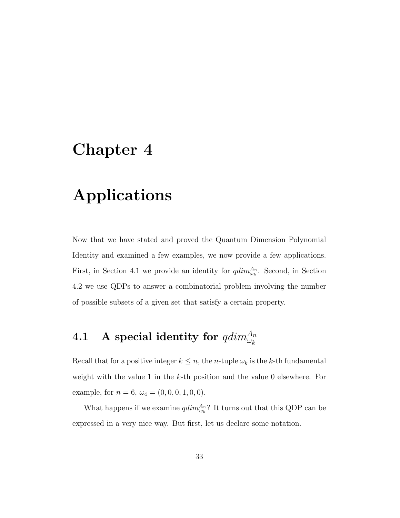# Chapter 4

## Applications

Now that we have stated and proved the Quantum Dimension Polynomial Identity and examined a few examples, we now provide a few applications. First, in Section 4.1 we provide an identity for  $qdim_{\omega_k}^{A_n}$ . Second, in Section 4.2 we use QDPs to answer a combinatorial problem involving the number of possible subsets of a given set that satisfy a certain property.

# $\textbf{4.1} \quad \textbf{A} \; \textbf{special identity for} \; qdim^{A_n}_{\omega_k}$

Recall that for a positive integer  $k \leq n$ , the *n*-tuple  $\omega_k$  is the *k*-th fundamental weight with the value 1 in the  $k$ -th position and the value 0 elsewhere. For example, for  $n = 6$ ,  $\omega_4 = (0, 0, 0, 1, 0, 0)$ .

What happens if we examine  $qdim_{w_k}^{A_n}$ ? It turns out that this QDP can be expressed in a very nice way. But first, let us declare some notation.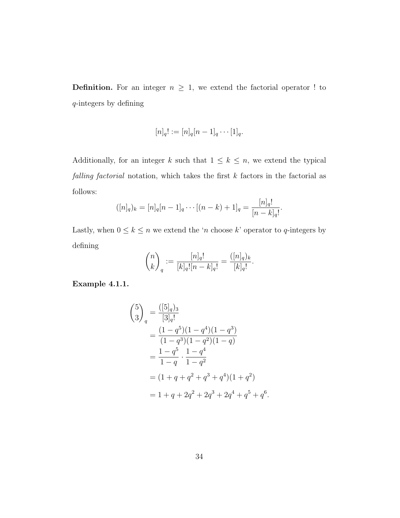**Definition.** For an integer  $n \geq 1$ , we extend the factorial operator ! to q-integers by defining

$$
[n]_q! := [n]_q [n-1]_q \cdots [1]_q.
$$

Additionally, for an integer k such that  $1 \leq k \leq n$ , we extend the typical *falling factorial* notation, which takes the first  $k$  factors in the factorial as follows:

$$
([n]_q)_k = [n]_q[n-1]_q \cdots [(n-k)+1]_q = \frac{[n]_q!}{[n-k]_q!}.
$$

Lastly, when  $0\leq k\leq n$  we extend the 'n choose  $k$  ' operator to  $q\text{-integers}$  by defining

$$
\binom{n}{k}_q := \frac{[n]_q!}{[k]_q! [n-k]_q!} = \frac{([n]_q)_k}{[k]_q!}.
$$

Example 4.1.1.

$$
\binom{5}{3}_q = \frac{([5]_q)_3}{[3]_q!}
$$
  
= 
$$
\frac{(1-q^5)(1-q^4)(1-q^3)}{(1-q^3)(1-q^2)(1-q)}
$$
  
= 
$$
\frac{1-q^5}{1-q} \cdot \frac{1-q^4}{1-q^2}
$$
  
= 
$$
(1+q+q^2+q^3+q^4)(1+q^2)
$$
  
= 
$$
1+q+2q^2+2q^3+2q^4+q^5+q^6.
$$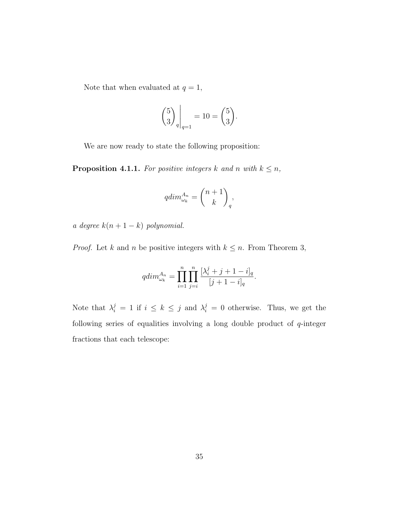Note that when evaluated at  $q = 1$ ,

$$
\binom{5}{3}_{q}\bigg|_{q=1} = 10 = \binom{5}{3}.
$$

We are now ready to state the following proposition:

**Proposition 4.1.1.** For positive integers k and n with  $k \leq n$ ,

$$
qdim_{\omega_k}^{A_n} = \binom{n+1}{k}_q,
$$

a degree  $k(n + 1 - k)$  polynomial.

*Proof.* Let k and n be positive integers with  $k \leq n$ . From Theorem 3,

$$
qdim_{\omega_k}^{A_n} = \prod_{i=1}^n \prod_{j=i}^n \frac{[\lambda_i^j + j + 1 - i]_q}{[j+1-i]_q}.
$$

Note that  $\lambda_i^j = 1$  if  $i \leq k \leq j$  and  $\lambda_i^j = 0$  otherwise. Thus, we get the following series of equalities involving a long double product of  $q$ -integer fractions that each telescope: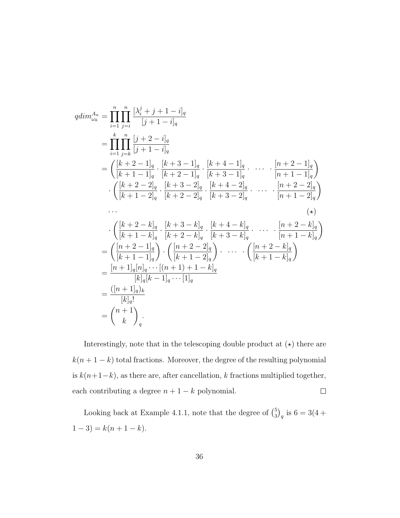$$
qdim_{\omega_{k}}^{A_{n}} = \prod_{i=1}^{n} \prod_{j=i}^{n} \frac{\left[\lambda_{i}^{j} + j + 1 - i\right]_{q}}{\left[j + 1 - i\right]_{q}}
$$
\n
$$
= \prod_{i=1}^{k} \prod_{j=k}^{n} \frac{\left[j + 2 - i\right]_{q}}{\left[j + 1 - i\right]_{q}} \cdot \frac{\left[k + 3 - 1\right]_{q}}{\left[k + 2 - 1\right]_{q}} \cdot \frac{\left[k + 4 - 1\right]_{q}}{\left[k + 3 - 1\right]_{q}} \cdot \dots \cdot \frac{\left[n + 2 - 1\right]_{q}}{\left[n + 1 - 1\right]_{q}} \cdot \left(\frac{\left[k + 2 - 2\right]_{q}}{\left[k + 2 - 2\right]_{q}} \cdot \frac{\left[k + 3 - 2\right]_{q}}{\left[k + 3 - 2\right]_{q}} \cdot \frac{\left[k + 4 - 2\right]_{q}}{\left[k + 3 - 2\right]_{q}} \cdot \dots \cdot \frac{\left[n + 2 - 2\right]_{q}}{\left[n + 1 - 2\right]_{q}} \right)
$$
\n...\n
$$
\left(\frac{\left[k + 2 - k\right]_{q}}{\left[k + 1 - k\right]_{q}} \cdot \frac{\left[k + 3 - k\right]_{q}}{\left[k + 2 - k\right]_{q}} \cdot \frac{\left[k + 4 - k\right]_{q}}{\left[k + 3 - k\right]_{q}} \cdot \dots \cdot \frac{\left[n + 2 - k\right]_{q}}{\left[n + 1 - k\right]_{q}} \right)
$$
\n
$$
= \left(\frac{\left[n + 2 - 1\right]_{q}}{\left[k + 1 - 1\right]_{q}}\right) \cdot \left(\frac{\left[n + 2 - 2\right]_{q}}{\left[k + 1 - 2\right]_{q}}\right) \cdot \dots \cdot \left(\frac{\left[n + 2 - k\right]_{q}}{\left[k + 1 - k\right]_{q}}\right)
$$
\n
$$
= \frac{\left[n + 1\right]_{q}\left[n\right]_{q} \cdots \left[(n + 1) + 1 - k\right]_{q}}{\left[k\right]_{q}\left[k - 1\right]_{q} \cdots \left[1\right]_{q}}
$$
\n
$$
= \frac{\left(n + 1
$$

Interestingly, note that in the telescoping double product at  $(\star)$  there are  $k(n + 1 - k)$  total fractions. Moreover, the degree of the resulting polynomial is  $k(n+1-k),$  as there are, after cancellation,  $k$  fractions multiplied together, each contributing a degree  $n + 1 - k$  polynomial.  $\Box$ 

Looking back at Example 4.1.1, note that the degree of  $\binom{5}{3}$  $_{3}^{5})_{q}$  is 6 = 3(4 +  $1-3$ ) =  $k(n+1-k)$ .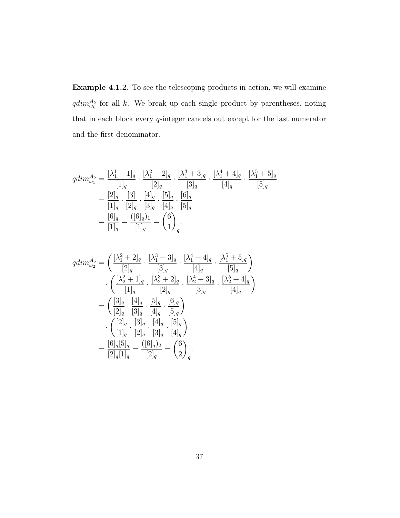Example 4.1.2. To see the telescoping products in action, we will examine  $qdim_{\omega_k}^{\mathcal{A}_5}$  for all k. We break up each single product by parentheses, noting that in each block every  $q$ -integer cancels out except for the last numerator and the first denominator.

$$
qdim_{\omega_1}^{A_5} = \frac{[\lambda_1^1 + 1]_q}{[1]_q} \cdot \frac{[\lambda_1^2 + 2]_q}{[2]_q} \cdot \frac{[\lambda_1^3 + 3]_q}{[3]_q} \cdot \frac{[\lambda_1^4 + 4]_q}{[4]_q} \cdot \frac{[\lambda_1^5 + 5]_q}{[5]_q}
$$
  

$$
= \frac{[2]_q}{[1]_q} \cdot \frac{[3]}{[2]_q} \cdot \frac{[4]_q}{[3]_q} \cdot \frac{[6]_q}{[4]_q} \cdot \frac{[6]_q}{[5]_q}
$$
  

$$
= \frac{[6]_q}{[1]_q} = \frac{([6]_q)_{1}}{[1]_q} = {6 \choose 1}_{q}.
$$

$$
qdim_{\omega_2}^{A_5} = \left(\frac{[\lambda_1^2 + 2]_q}{[2]_q} \cdot \frac{[\lambda_1^3 + 3]_q}{[3]_q} \cdot \frac{[\lambda_1^4 + 4]_q}{[4]_q} \cdot \frac{[\lambda_1^5 + 5]_q}{[5]_q}\right)
$$

$$
\cdot \left(\frac{[\lambda_2^2 + 1]_q}{[1]_q} \cdot \frac{[\lambda_2^3 + 2]_q}{[2]_q} \cdot \frac{[\lambda_2^4 + 3]_q}{[3]_q} \cdot \frac{[\lambda_2^5 + 4]_q}{[4]_q}\right)
$$

$$
= \left(\frac{[3]_q}{[2]_q} \cdot \frac{[4]_q}{[3]_q} \cdot \frac{[5]_q}{[4]_q} \cdot \frac{[6]_q}{[5]_q}\right)
$$

$$
\cdot \left(\frac{[2]_q}{[1]_q} \cdot \frac{[3]_q}{[2]_q} \cdot \frac{[4]_q}{[3]_q} \cdot \frac{[5]_q}{[4]_q}\right)
$$

$$
= \frac{[6]_q[5]_q}{[2]_q[1]_q} = \frac{([6]_q)_2}{[2]_q} = {\binom{6}{2}}_q.
$$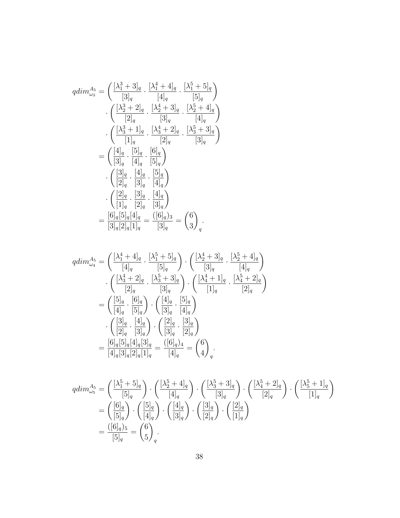$$
qdim_{\omega_{3}}^{A_{5}} = \left(\frac{[\lambda_{1}^{3} + 3]_{q}}{[3]_{q}} \cdot \frac{[\lambda_{1}^{4} + 4]_{q}}{[4]_{q}} \cdot \frac{[\lambda_{1}^{5} + 5]_{q}}{[5]_{q}}\right) \cdot \left(\frac{[\lambda_{2}^{3} + 2]_{q}}{[2]_{q}} \cdot \frac{[\lambda_{2}^{4} + 3]_{q}}{[3]_{q}} \cdot \frac{[\lambda_{2}^{5} + 4]_{q}}{[4]_{q}}\right) \cdot \left(\frac{[\lambda_{3}^{3} + 1]_{q}}{[1]_{q}} \cdot \frac{[\lambda_{3}^{4} + 2]_{q}}{[2]_{q}} \cdot \frac{[\lambda_{3}^{5} + 3]_{q}}{[3]_{q}}\right) \cdot \left(\frac{[\lambda_{1}^{1} - 5]_{q}}{[3]_{q}} \cdot \frac{[6]_{q}}{[5]_{q}}\right) \cdot \left(\frac{[3]_{q}}{[2]_{q}} \cdot \frac{[4]_{q}}{[3]_{q}} \cdot \frac{[5]_{q}}{[4]_{q}}\right) \cdot \left(\frac{[2]_{q}}{[1]_{q}} \cdot \frac{[3]_{q}}{[2]_{q}} \cdot \frac{[4]_{q}}{[3]_{q}}\right) \cdot \left(\frac{[2]_{q}}{[1]_{q}} \cdot \frac{[3]_{q}}{[2]_{q}} \cdot \frac{[4]_{q}}{[3]_{q}}\right) \cdot \left(\frac{[2]_{q}}{[3]_{q}[2]_{q}[1]_{q}} = \frac{([6]_{q}]_{3}}{[3]_{q}}\right) \cdot \left(\frac{3}{q}\right) \cdot \left(\frac{3}{q}\right) \cdot \left(\frac{3}{q}\right) \cdot \left(\frac{3}{q}\right) \cdot \left(\frac{3}{q}\right) \cdot \left(\frac{3}{q}\right) \cdot \left(\frac{3}{q}\right) \cdot \left(\frac{3}{q}\right) \cdot \left(\frac{3}{q}\right) \cdot \left(\frac{3}{q}\right) \cdot \left(\frac{3}{q}\right) \cdot \left(\frac{3}{q}\right) \cdot \left(\frac{3}{q}\right) \cdot \left(\frac{3}{q}\right) \cdot \left(\frac{3}{q}\right) \cdot \left(\frac{3}{q}\right) \
$$

$$
qdim_{\omega_4}^{A_5} = \left(\frac{[\lambda_1^4 + 4]_q}{[4]_q} \cdot \frac{[\lambda_1^5 + 5]_q}{[5]_q}\right) \cdot \left(\frac{[\lambda_2^4 + 3]_q}{[3]_q} \cdot \frac{[\lambda_2^5 + 4]_q}{[4]_q}\right)
$$

$$
\cdot \left(\frac{[\lambda_3^4 + 2]_q}{[2]_q} \cdot \frac{[\lambda_3^5 + 3]_q}{[3]_q}\right) \cdot \left(\frac{[\lambda_4^4 + 1]_q}{[1]_q} \cdot \frac{[\lambda_4^5 + 2]_q}{[2]_q}\right)
$$

$$
= \left(\frac{[5]_q}{[4]_q} \cdot \frac{[6]_q}{[5]_q}\right) \cdot \left(\frac{[4]_q}{[3]_q} \cdot \frac{[5]_q}{[4]_q}\right)
$$

$$
\cdot \left(\frac{[3]_q}{[2]_q} \cdot \frac{[4]_q}{[3]_q}\right) \cdot \left(\frac{[2]_q}{[3]_q} \cdot \frac{[3]_q}{[2]_q}\right)
$$

$$
= \frac{[6]_q[5]_q[4]_q[3]_q}{[4]_q[3]_q[2]_q[1]_q} = \frac{([6]_q)_4}{[4]_q} = \left(\frac{6}{4}\right)_q.
$$

$$
qdim_{\omega_5}^{A_5} = \left(\frac{[\lambda_1^5 + 5]_q}{[5]_q}\right) \cdot \left(\frac{[\lambda_2^5 + 4]_q}{[4]_q}\right) \cdot \left(\frac{[\lambda_3^5 + 3]_q}{[3]_q}\right) \cdot \left(\frac{[\lambda_4^5 + 2]_q}{[2]_q}\right) \cdot \left(\frac{[\lambda_5^5 + 1]_q}{[1]_q}\right)
$$
  

$$
= \left(\frac{[6]_q}{[5]_q}\right) \cdot \left(\frac{[5]_q}{[4]_q}\right) \cdot \left(\frac{[4]_q}{[3]_q}\right) \cdot \left(\frac{[3]_q}{[2]_q}\right) \cdot \left(\frac{[2]_q}{[1]_q}\right)
$$
  

$$
= \frac{([6]_q)_5}{[5]_q} = {6 \choose 5}_q.
$$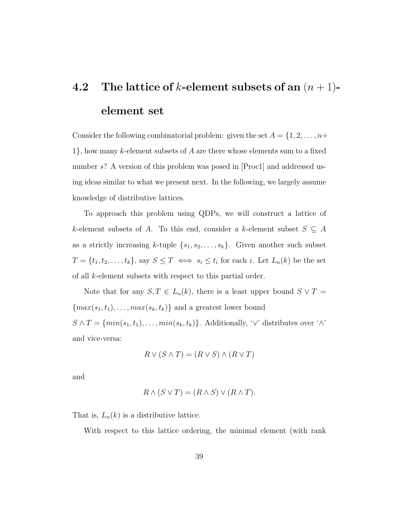# 4.2 The lattice of k-element subsets of an  $(n + 1)$ element set

Consider the following combinatorial problem: given the set  $A = \{1, 2, \ldots, n+\}$  $1$ , how many k-element subsets of A are there whose elements sum to a fixed number s? A version of this problem was posed in [Proc1] and addressed using ideas similar to what we present next. In the following, we largely assume knowledge of distributive lattices.

To approach this problem using QDPs, we will construct a lattice of k-element subsets of A. To this end, consider a k-element subset  $S \subseteq A$ as a strictly increasing k-tuple  $\{s_1, s_2, \ldots, s_k\}$ . Given another such subset  $T = \{t_1, t_2, \ldots, t_k\},\$  say  $S \leq T \iff s_i \leq t_i$  for each i. Let  $L_n(k)$  be the set of all k-element subsets with respect to this partial order.

Note that for any  $S, T \in L_n(k)$ , there is a least upper bound  $S \vee T =$  ${max(s_1, t_1), \ldots, max(s_k, t_k)}$  and a greatest lower bound  $S \wedge T = \{min(s_1, t_1), \ldots, min(s_k, t_k)\}\$ . Additionally, ' $\vee$ ' distributes over ' $\wedge$ ' and vice-versa:

$$
R \vee (S \wedge T) = (R \vee S) \wedge (R \vee T)
$$

and

$$
R \wedge (S \vee T) = (R \wedge S) \vee (R \wedge T).
$$

That is,  $L_n(k)$  is a distributive lattice.

With respect to this lattice ordering, the minimal element (with rank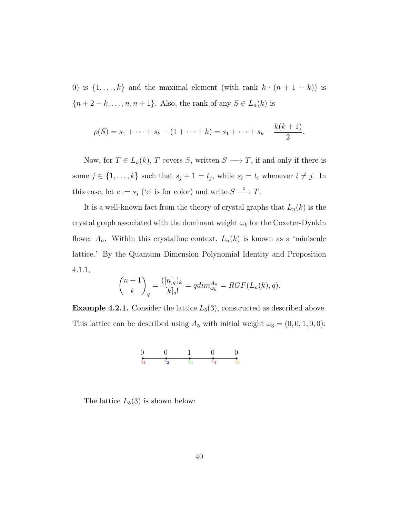0) is  $\{1, \ldots, k\}$  and the maximal element (with rank  $k \cdot (n + 1 - k)$ ) is  ${n + 2 - k,..., n, n + 1}.$  Also, the rank of any  $S \in L_n(k)$  is

$$
\rho(S) = s_1 + \dots + s_k - (1 + \dots + k) = s_1 + \dots + s_k - \frac{k(k+1)}{2}.
$$

Now, for  $T \in L_n(k)$ , T covers S, written  $S \longrightarrow T$ , if and only if there is some  $j \in \{1, ..., k\}$  such that  $s_j + 1 = t_j$ , while  $s_i = t_i$  whenever  $i \neq j$ . In this case, let  $c := s_j$  ('c' is for color) and write  $S \stackrel{c}{\longrightarrow} T$ .

It is a well-known fact from the theory of crystal graphs that  $L_n(k)$  is the crystal graph associated with the dominant weight  $\omega_k$  for the Coxeter-Dynkin flower  $A_n$ . Within this crystalline context,  $L_n(k)$  is known as a 'miniscule lattice.' By the Quantum Dimension Polynomial Identity and Proposition 4.1.1,

$$
\binom{n+1}{k}_q = \frac{([n]_q)_k}{[k]_q!} = qdim_{\omega_k}^{A_n} = RGF(L_n(k), q).
$$

**Example 4.2.1.** Consider the lattice  $L_5(3)$ , constructed as described above. This lattice can be described using  $A_5$  with initial weight  $\omega_3 = (0, 0, 1, 0, 0)$ :



The lattice  $L_5(3)$  is shown below: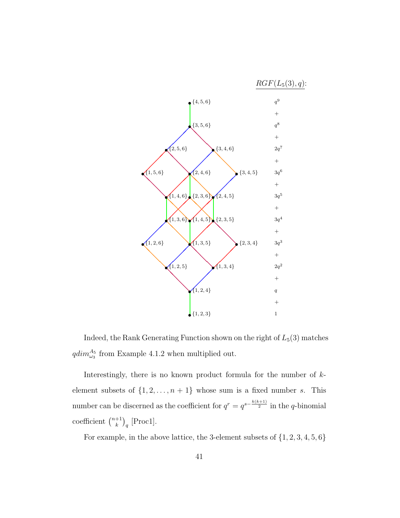

Indeed, the Rank Generating Function shown on the right of  $L_5(3)$  matches  $qdim_{\omega_3}^{A_5}$  from Example 4.1.2 when multiplied out.

Interestingly, there is no known product formula for the number of  $k$ element subsets of  $\{1, 2, \ldots, n + 1\}$  whose sum is a fixed number s. This number can be discerned as the coefficient for  $q^r = q^{s - \frac{k(k+1)}{2}}$  in the q-binomial coefficient  $\binom{n+1}{k}$  $_{k}^{+1}\big)_{q}$  [Proc1].

For example, in the above lattice, the 3-element subsets of {1, 2, 3, 4, 5, 6}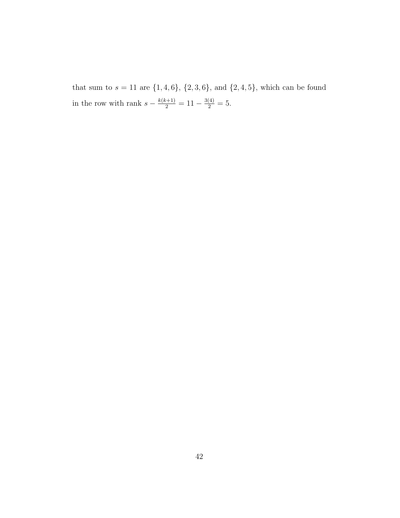that sum to  $s = 11$  are  $\{1, 4, 6\}$ ,  $\{2, 3, 6\}$ , and  $\{2, 4, 5\}$ , which can be found in the row with rank  $s - \frac{k(k+1)}{2} = 11 - \frac{3(4)}{2} = 5$ .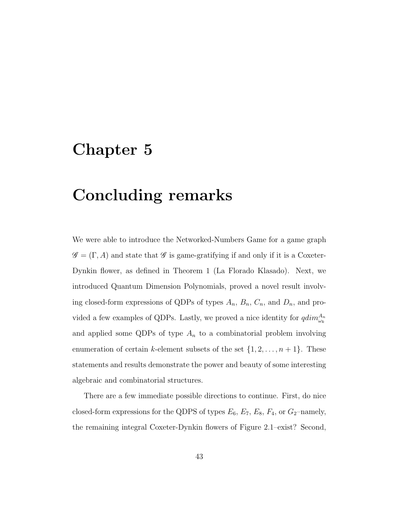# Chapter 5

# Concluding remarks

We were able to introduce the Networked-Numbers Game for a game graph  $\mathscr{G} = (\Gamma, A)$  and state that  $\mathscr{G}$  is game-gratifying if and only if it is a Coxeter-Dynkin flower, as defined in Theorem 1 (La Florado Klasado). Next, we introduced Quantum Dimension Polynomials, proved a novel result involving closed-form expressions of QDPs of types  $A_n$ ,  $B_n$ ,  $C_n$ , and  $D_n$ , and provided a few examples of QDPs. Lastly, we proved a nice identity for  $qdim_{\omega_k}^{A_n}$ and applied some QDPs of type  $A_n$  to a combinatorial problem involving enumeration of certain k-element subsets of the set  $\{1, 2, \ldots, n+1\}$ . These statements and results demonstrate the power and beauty of some interesting algebraic and combinatorial structures.

There are a few immediate possible directions to continue. First, do nice closed-form expressions for the QDPS of types  $E_6$ ,  $E_7$ ,  $E_8$ ,  $F_4$ , or  $G_2$ –namely, the remaining integral Coxeter-Dynkin flowers of Figure 2.1–exist? Second,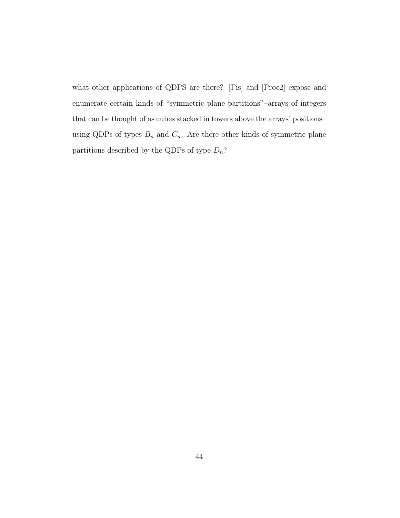what other applications of QDPS are there? [Fis] and [Proc2] expose and enumerate certain kinds of "symmetric plane partitions"–arrays of integers that can be thought of as cubes stacked in towers above the arrays' positions– using QDPs of types  $B_n$  and  $C_n$ . Are there other kinds of symmetric plane partitions described by the QDPs of type  $D_n$ ?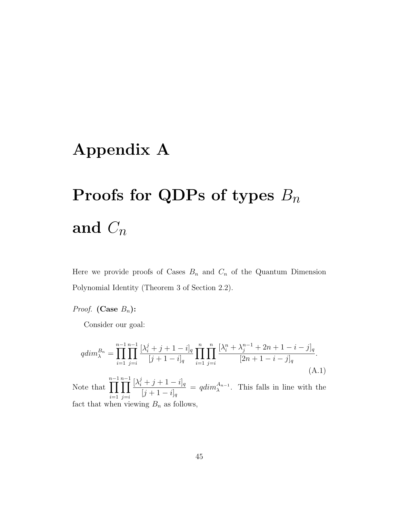# Appendix A

# Proofs for QDPs of types  $B_n$ and  $C_n$

Here we provide proofs of Cases  $B_n$  and  $C_n$  of the Quantum Dimension Polynomial Identity (Theorem 3 of Section 2.2).

#### *Proof.* (Case  $B_n$ ):

Consider our goal:

$$
qdim_{\lambda}^{B_n} = \prod_{i=1}^{n-1} \prod_{j=i}^{n-1} \frac{[\lambda_i^j + j + 1 - i]_q}{[j+1-i]_q} \prod_{i=1}^n \prod_{j=i}^n \frac{[\lambda_i^n + \lambda_j^{n-1} + 2n + 1 - i - j]_q}{[2n+1-i-j]_q}.
$$
\n(A.1)

Note that n−1<br>∏  $i=1$ n−1<br>∏  $j = i$  $[\lambda_i^j + j + 1 - i]_q$  $[j + 1 - i]_q$  $=$   $qdim_{\lambda}^{A_{n-1}}$ . This falls in line with the fact that when viewing  $B_n$  as follows,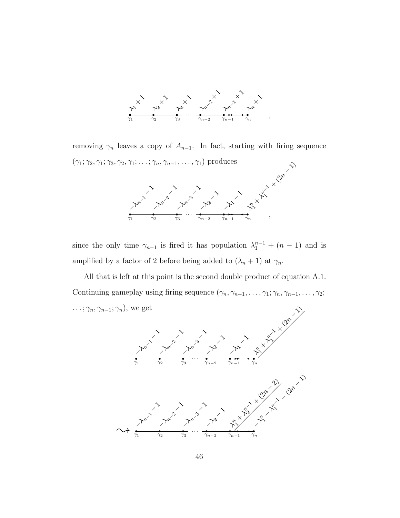

removing  $\gamma_n$  leaves a copy of  $A_{n-1}$ . In fact, starting with firing sequence  $(\gamma_1; \gamma_2, \gamma_1; \gamma_3, \gamma_2, \gamma_1; \ldots; \gamma_n, \gamma_{n-1}, \ldots, \gamma_1)$  produces −λn<sup>−</sup><sup>1</sup> − 1 −λn<sup>−</sup><sup>2</sup> − 11.3  $\sim$ −λ<sup>2</sup> −  $\begin{pmatrix} 1 & 1 \\ 1 & 1 \end{pmatrix}$  $\sim$  $\times$   $+$ n√<br>T∖ **+ (2n** 

λ  $\stackrel{\sim}{\sim}$ 

,

 $\begin{array}{ccccc}\n\bullet & \bullet & \bullet & \bullet & \bullet & \bullet & \bullet \\
\hline\n\gamma_1 & \gamma_2 & \gamma_3 & \cdots & \gamma_{n-2} & \gamma_{n-1} & \gamma_n\n\end{array}$ 

since the only time  $\gamma_{n-1}$  is fired it has population  $\lambda_1^{n-1} + (n-1)$  and is amplified by a factor of 2 before being added to  $(\lambda_n + 1)$  at  $\gamma_n$ .

All that is left at this point is the second double product of equation A.1. Continuing gameplay using firing sequence  $(\gamma_n, \gamma_{n-1}, \ldots, \gamma_1; \gamma_n, \gamma_{n-1}, \ldots, \gamma_2;$  $\ldots$ ;  $\gamma_n$ ,  $\gamma_{n-1}$ ;  $\gamma_n$ ), we get

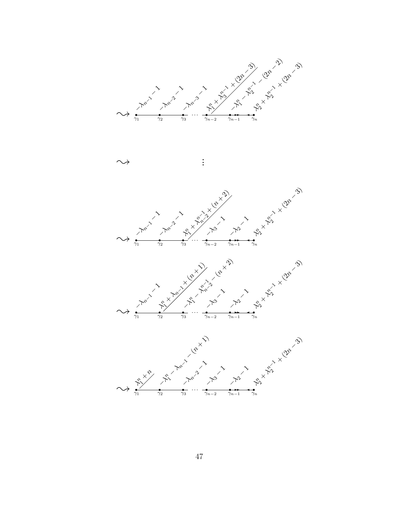





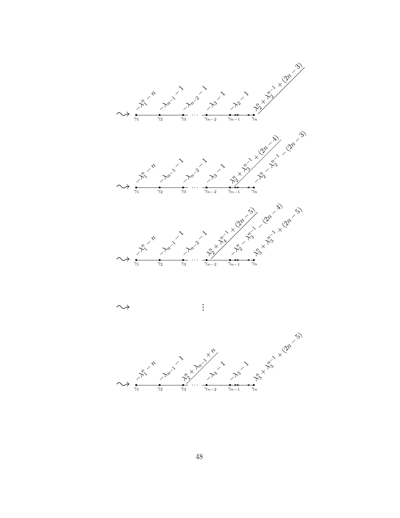



 $\rightsquigarrow$  :

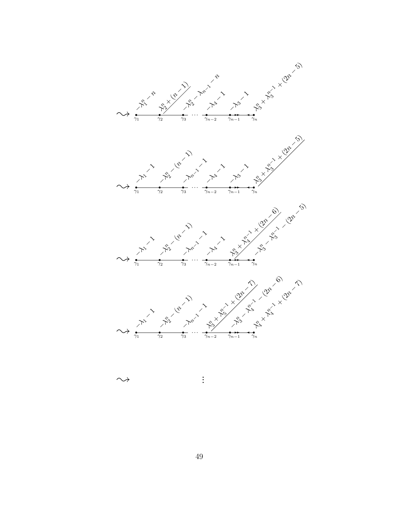

 $\rightsquigarrow$  :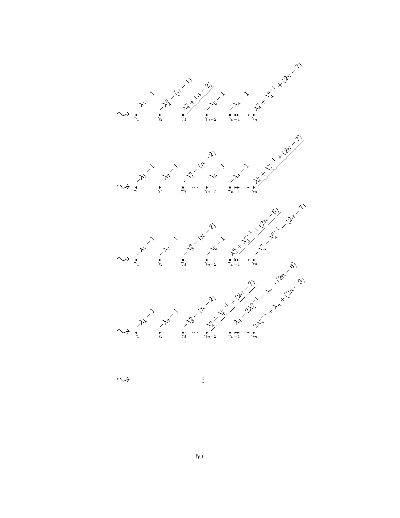

 $\rightsquigarrow$ 

. .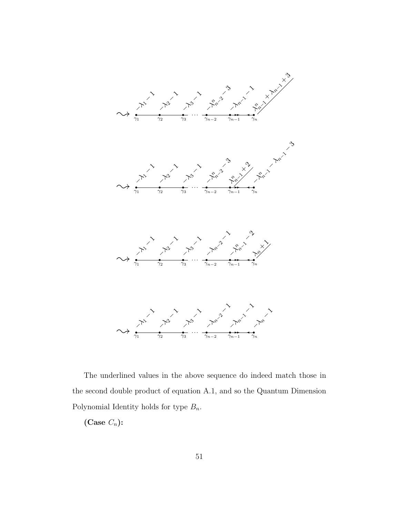

The underlined values in the above sequence do indeed match those in the second double product of equation A.1, and so the Quantum Dimension Polynomial Identity holds for type  $B_n$ .

(Case  $C_n$ ):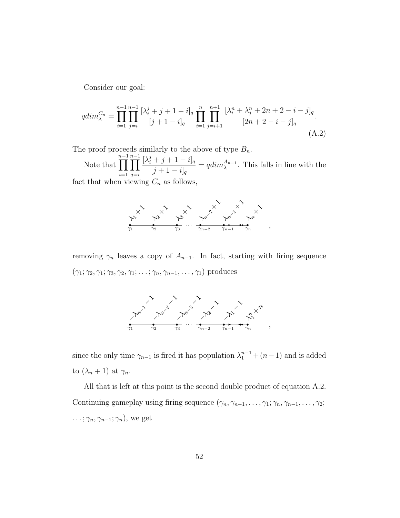Consider our goal:

$$
qdim_{\lambda}^{C_n} = \prod_{i=1}^{n-1} \prod_{j=i}^{n-1} \frac{[\lambda_i^j + j + 1 - i]_q}{[j+1-i]_q} \prod_{i=1}^n \prod_{j=i+1}^{n+1} \frac{[\lambda_i^n + \lambda_j^n + 2n + 2 - i - j]_q}{[2n+2-i-j]_q}.
$$
\n(A.2)

The proof proceeds similarly to the above of type  $B_n$ .

Note that n−1<br>∏  $i=1$ n−1<br>∏  $j = i$  $[\lambda_i^j + j + 1 - i]_q$  $[j + 1 - i]_q$  $= q dim_{\lambda}^{A_{n-1}}$ . This falls in line with the

fact that when viewing  $C_n$  as follows,



removing  $\gamma_n$  leaves a copy of  $A_{n-1}$ . In fact, starting with firing sequence  $(\gamma_1; \gamma_2, \gamma_1; \gamma_3, \gamma_2, \gamma_1; \ldots; \gamma_n, \gamma_{n-1}, \ldots, \gamma_1)$  produces



since the only time  $\gamma_{n-1}$  is fired it has population  $\lambda_1^{n-1} + (n-1)$  and is added to  $(\lambda_n + 1)$  at  $\gamma_n$ .

All that is left at this point is the second double product of equation A.2. Continuing gameplay using firing sequence  $(\gamma_n, \gamma_{n-1}, \ldots, \gamma_1; \gamma_n, \gamma_{n-1}, \ldots, \gamma_2;$  $\ldots$ ;  $\gamma_n$ ,  $\gamma_{n-1}$ ;  $\gamma_n$ ), we get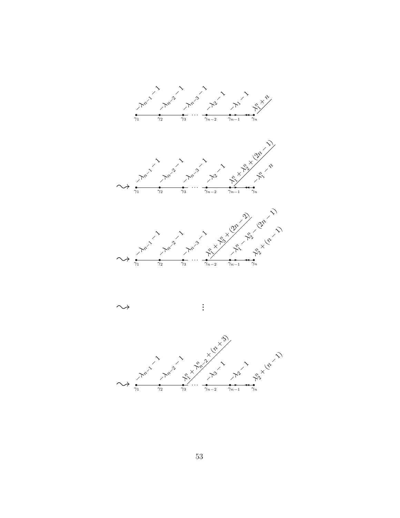



 $\rightsquigarrow$ 



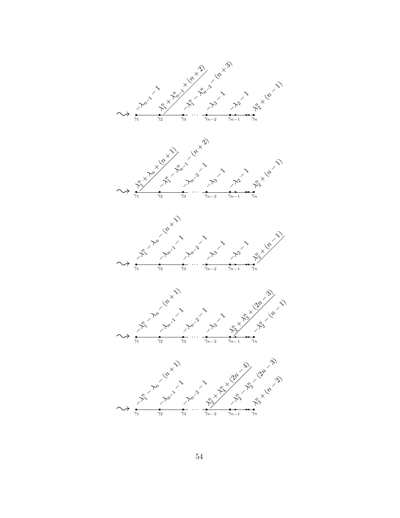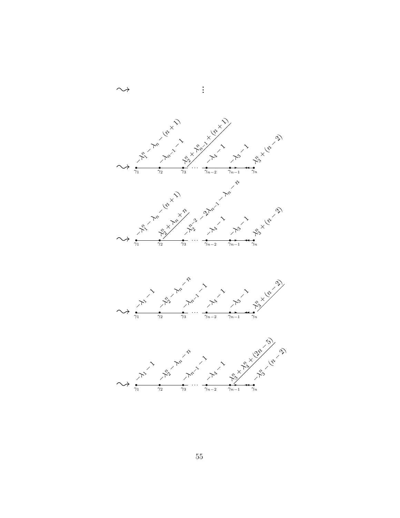



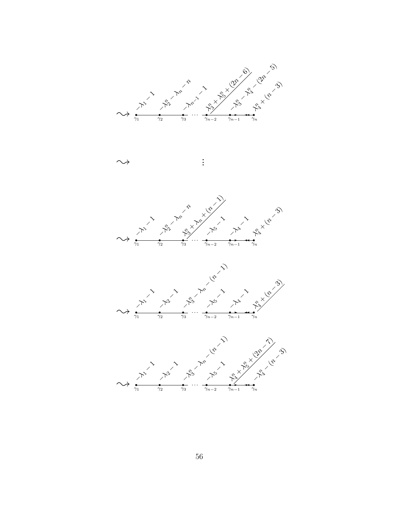





. .



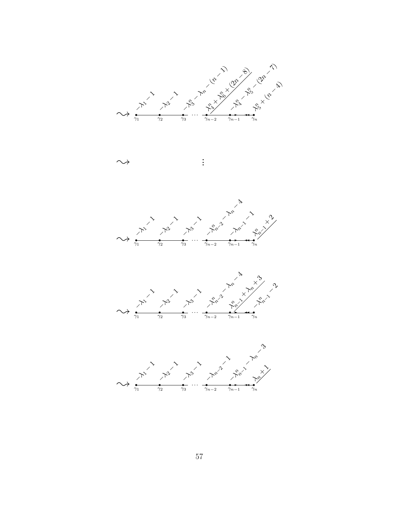

. .







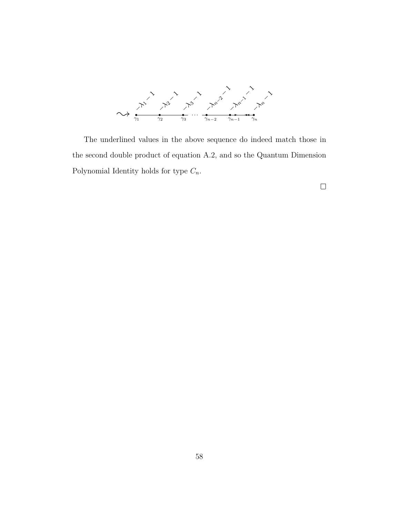

The underlined values in the above sequence do indeed match those in the second double product of equation A.2, and so the Quantum Dimension Polynomial Identity holds for type  $C_n$ .

 $\Box$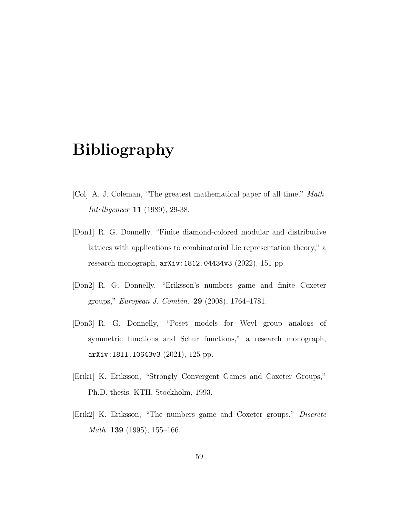## Bibliography

- [Col] A. J. Coleman, "The greatest mathematical paper of all time," Math. Intelligencer 11 (1989), 29-38.
- [Don1] R. G. Donnelly, "Finite diamond-colored modular and distributive lattices with applications to combinatorial Lie representation theory," a research monograph, arXiv:1812.04434v3 (2022), 151 pp.
- [Don2] R. G. Donnelly, "Eriksson's numbers game and finite Coxeter groups," European J. Combin. 29 (2008), 1764–1781.
- [Don3] R. G. Donnelly, "Poset models for Weyl group analogs of symmetric functions and Schur functions," a research monograph, arXiv:1811.10643v3 (2021), 125 pp.
- [Erik1] K. Eriksson, "Strongly Convergent Games and Coxeter Groups," Ph.D. thesis, KTH, Stockholm, 1993.
- [Erik2] K. Eriksson, "The numbers game and Coxeter groups," Discrete *Math.* **139** (1995), 155–166.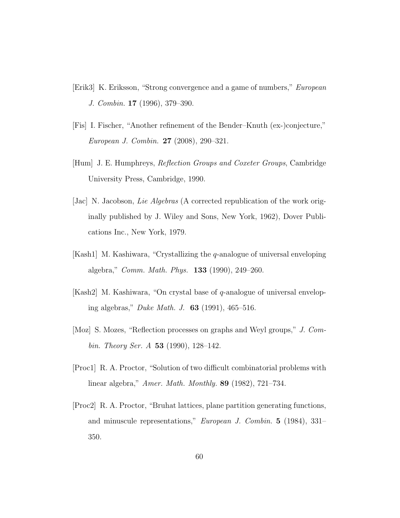- [Erik3] K. Eriksson, "Strong convergence and a game of numbers," European J. Combin. 17 (1996), 379–390.
- [Fis] I. Fischer, "Another refinement of the Bender–Knuth (ex-)conjecture," European J. Combin. 27 (2008), 290–321.
- [Hum] J. E. Humphreys, Reflection Groups and Coxeter Groups, Cambridge University Press, Cambridge, 1990.
- [Jac] N. Jacobson, *Lie Algebras* (A corrected republication of the work originally published by J. Wiley and Sons, New York, 1962), Dover Publications Inc., New York, 1979.
- [Kash1] M. Kashiwara, "Crystallizing the q-analogue of universal enveloping algebra," Comm. Math. Phys. 133 (1990), 249–260.
- $[Kash2]$  M. Kashiwara, "On crystal base of q-analogue of universal enveloping algebras," Duke Math. J. 63 (1991), 465–516.
- [Moz] S. Mozes, "Reflection processes on graphs and Weyl groups," J. Combin. Theory Ser. A 53 (1990), 128–142.
- [Proc1] R. A. Proctor, "Solution of two difficult combinatorial problems with linear algebra," Amer. Math. Monthly. 89 (1982), 721–734.
- [Proc2] R. A. Proctor, "Bruhat lattices, plane partition generating functions, and minuscule representations," European J. Combin. 5 (1984), 331– 350.